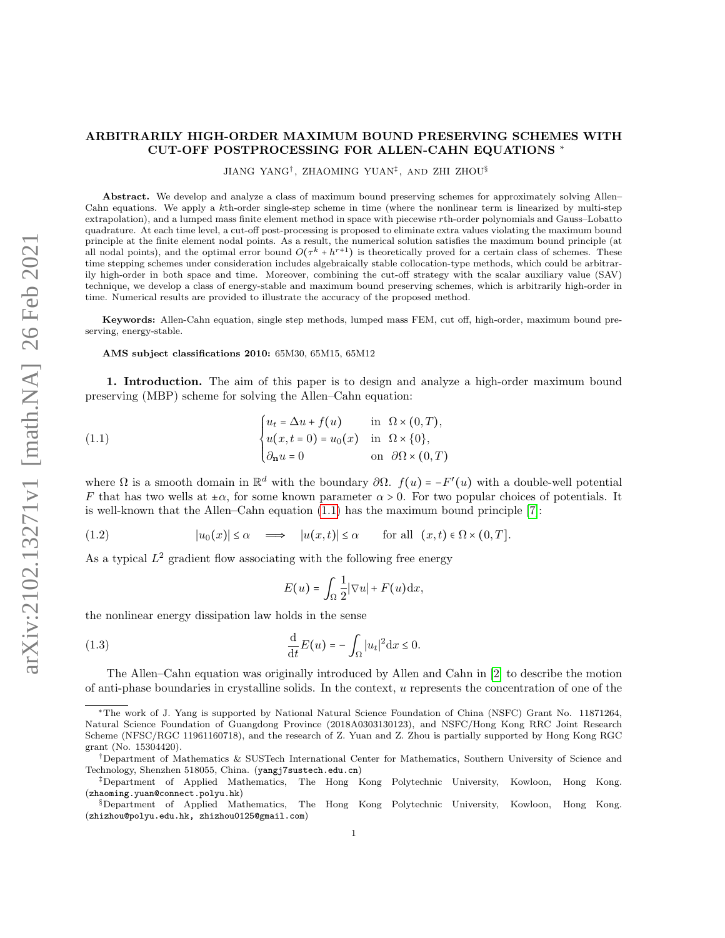## ARBITRARILY HIGH-ORDER MAXIMUM BOUND PRESERVING SCHEMES WITH CUT-OFF POSTPROCESSING FOR ALLEN-CAHN EQUATIONS <sup>∗</sup>

JIANG YANG† , ZHAOMING YUAN‡ , AND ZHI ZHOU§

Abstract. We develop and analyze a class of maximum bound preserving schemes for approximately solving Allen– Cahn equations. We apply a kth-order single-step scheme in time (where the nonlinear term is linearized by multi-step extrapolation), and a lumped mass finite element method in space with piecewise rth-order polynomials and Gauss–Lobatto quadrature. At each time level, a cut-off post-processing is proposed to eliminate extra values violating the maximum bound principle at the finite element nodal points. As a result, the numerical solution satisfies the maximum bound principle (at all nodal points), and the optimal error bound  $O(\tau^k + h^{r+1})$  is theoretically proved for a certain class of schemes. These time stepping schemes under consideration includes algebraically stable collocation-type methods, which could be arbitrarily high-order in both space and time. Moreover, combining the cut-off strategy with the scalar auxiliary value (SAV) technique, we develop a class of energy-stable and maximum bound preserving schemes, which is arbitrarily high-order in time. Numerical results are provided to illustrate the accuracy of the proposed method.

Keywords: Allen-Cahn equation, single step methods, lumped mass FEM, cut off, high-order, maximum bound preserving, energy-stable.

AMS subject classifications 2010: 65M30, 65M15, 65M12

1. Introduction. The aim of this paper is to design and analyze a high-order maximum bound preserving (MBP) scheme for solving the Allen–Cahn equation:

(1.1) 
$$
\begin{cases} u_t = \Delta u + f(u) & \text{in } \Omega \times (0, T), \\ u(x, t = 0) = u_0(x) & \text{in } \Omega \times \{0\}, \\ \partial_{\mathbf{n}} u = 0 & \text{on } \partial\Omega \times (0, T) \end{cases}
$$

where  $\Omega$  is a smooth domain in  $\mathbb{R}^d$  with the boundary  $\partial \Omega$ .  $f(u) = -F'(u)$  with a double-well potential F that has two wells at  $\pm \alpha$ , for some known parameter  $\alpha > 0$ . For two popular choices of potentials. It is well-known that the Allen–Cahn equation  $(1.1)$  has the maximum bound principle [\[7\]](#page-27-0):

<span id="page-0-2"></span>(1.2) 
$$
|u_0(x)| \le \alpha \implies |u(x,t)| \le \alpha
$$
 for all  $(x,t) \in \Omega \times (0,T]$ .

As a typical  $L^2$  gradient flow associating with the following free energy

<span id="page-0-1"></span><span id="page-0-0"></span>
$$
E(u) = \int_{\Omega} \frac{1}{2} |\nabla u| + F(u) \mathrm{d} x,
$$

the nonlinear energy dissipation law holds in the sense

(1.3) 
$$
\frac{\mathrm{d}}{\mathrm{d}t}E(u) = -\int_{\Omega}|u_t|^2\mathrm{d}x \leq 0.
$$

The Allen–Cahn equation was originally introduced by Allen and Cahn in [\[2\]](#page-27-1) to describe the motion of anti-phase boundaries in crystalline solids. In the context, u represents the concentration of one of the

<sup>∗</sup>The work of J. Yang is supported by National Natural Science Foundation of China (NSFC) Grant No. 11871264, Natural Science Foundation of Guangdong Province (2018A0303130123), and NSFC/Hong Kong RRC Joint Research Scheme (NFSC/RGC 11961160718), and the research of Z. Yuan and Z. Zhou is partially supported by Hong Kong RGC grant (No. 15304420).

<sup>†</sup>Department of Mathematics & SUSTech International Center for Mathematics, Southern University of Science and Technology, Shenzhen 518055, China. (yangj7sustech.edu.cn)

<sup>‡</sup>Department of Applied Mathematics, The Hong Kong Polytechnic University, Kowloon, Hong Kong. (zhaoming.yuan@connect.polyu.hk)

<sup>§</sup>Department of Applied Mathematics, The Hong Kong Polytechnic University, Kowloon, Hong Kong. (zhizhou@polyu.edu.hk, zhizhou0125@gmail.com)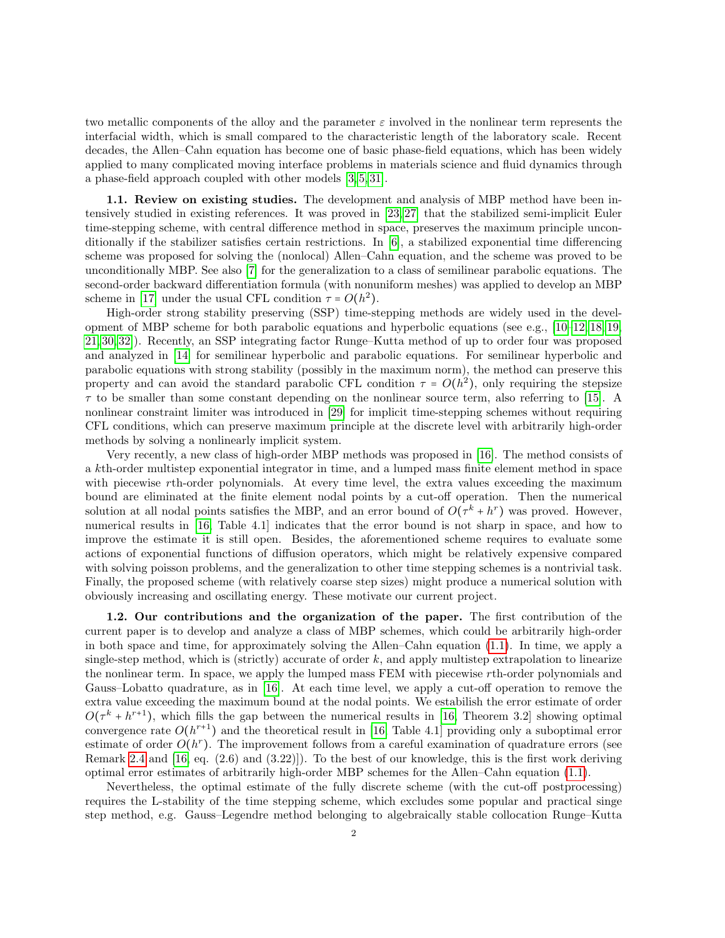two metallic components of the alloy and the parameter  $\varepsilon$  involved in the nonlinear term represents the interfacial width, which is small compared to the characteristic length of the laboratory scale. Recent decades, the Allen–Cahn equation has become one of basic phase-field equations, which has been widely applied to many complicated moving interface problems in materials science and fluid dynamics through a phase-field approach coupled with other models [\[3,](#page-27-2) [5,](#page-27-3) [31\]](#page-28-0).

1.1. Review on existing studies. The development and analysis of MBP method have been intensively studied in existing references. It was proved in [\[23,](#page-28-1) [27\]](#page-28-2) that the stabilized semi-implicit Euler time-stepping scheme, with central difference method in space, preserves the maximum principle unconditionally if the stabilizer satisfies certain restrictions. In [\[6\]](#page-27-4), a stabilized exponential time differencing scheme was proposed for solving the (nonlocal) Allen–Cahn equation, and the scheme was proved to be unconditionally MBP. See also [\[7\]](#page-27-0) for the generalization to a class of semilinear parabolic equations. The second-order backward differentiation formula (with nonuniform meshes) was applied to develop an MBP scheme in [\[17\]](#page-27-5) under the usual CFL condition  $\tau = O(h^2)$ .<br>
Uigh order straps stability presenting (SSD) time of

High-order strong stability preserving (SSP) time-stepping methods are widely used in the development of MBP scheme for both parabolic equations and hyperbolic equations (see e.g., [\[10–](#page-27-6)[12,](#page-27-7) [18,](#page-27-8) [19,](#page-27-9) [21,](#page-28-3) [30,](#page-28-4) [32\]](#page-28-5)). Recently, an SSP integrating factor Runge–Kutta method of up to order four was proposed and analyzed in [\[14\]](#page-27-10) for semilinear hyperbolic and parabolic equations. For semilinear hyperbolic and parabolic equations with strong stability (possibly in the maximum norm), the method can preserve this property and can avoid the standard parabolic CFL condition  $\tau = O(h^2)$ , only requiring the stepsize  $\tau$  to be smaller than some constant depending on the nonlinear source term, also referring to [\[15\]](#page-27-11). A nonlinear constraint limiter was introduced in [\[29\]](#page-28-6) for implicit time-stepping schemes without requiring CFL conditions, which can preserve maximum principle at the discrete level with arbitrarily high-order methods by solving a nonlinearly implicit system.

Very recently, a new class of high-order MBP methods was proposed in [\[16\]](#page-27-12). The method consists of a kth-order multistep exponential integrator in time, and a lumped mass finite element method in space with piecewise rth-order polynomials. At every time level, the extra values exceeding the maximum bound are eliminated at the finite element nodal points by a cut-off operation. Then the numerical solution at all nodal points satisfies the MBP, and an error bound of  $O(\tau^k + h^r)$  was proved. However, numerical results in [\[16,](#page-27-12) Table 4.1] indicates that the error bound is not sharp in space, and how to improve the estimate it is still open. Besides, the aforementioned scheme requires to evaluate some actions of exponential functions of diffusion operators, which might be relatively expensive compared with solving poisson problems, and the generalization to other time stepping schemes is a nontrivial task. Finally, the proposed scheme (with relatively coarse step sizes) might produce a numerical solution with obviously increasing and oscillating energy. These motivate our current project.

1.2. Our contributions and the organization of the paper. The first contribution of the current paper is to develop and analyze a class of MBP schemes, which could be arbitrarily high-order in both space and time, for approximately solving the Allen–Cahn equation [\(1.1\)](#page-0-0). In time, we apply a single-step method, which is (strictly) accurate of order  $k$ , and apply multistep extrapolation to linearize the nonlinear term. In space, we apply the lumped mass FEM with piecewise rth-order polynomials and Gauss–Lobatto quadrature, as in [\[16\]](#page-27-12). At each time level, we apply a cut-off operation to remove the extra value exceeding the maximum bound at the nodal points. We estabilish the error estimate of order  $O(\tau^k + h^{r+1})$ , which fills the gap between the numerical results in [\[16,](#page-27-12) Theorem 3.2] showing optimal convergence rate  $O(h^{r+1})$  and the theoretical result in [\[16,](#page-27-12) Table 4.1] providing only a suboptimal error estimate of order  $O(h^r)$ . The improvement follows from a careful examination of quadrature errors (see Remark [2.4](#page-12-0) and [\[16,](#page-27-12) eq. (2.6) and (3.22)]). To the best of our knowledge, this is the first work deriving optimal error estimates of arbitrarily high-order MBP schemes for the Allen–Cahn equation [\(1.1\)](#page-0-0).

Nevertheless, the optimal estimate of the fully discrete scheme (with the cut-off postprocessing) requires the L-stability of the time stepping scheme, which excludes some popular and practical singe step method, e.g. Gauss–Legendre method belonging to algebraically stable collocation Runge–Kutta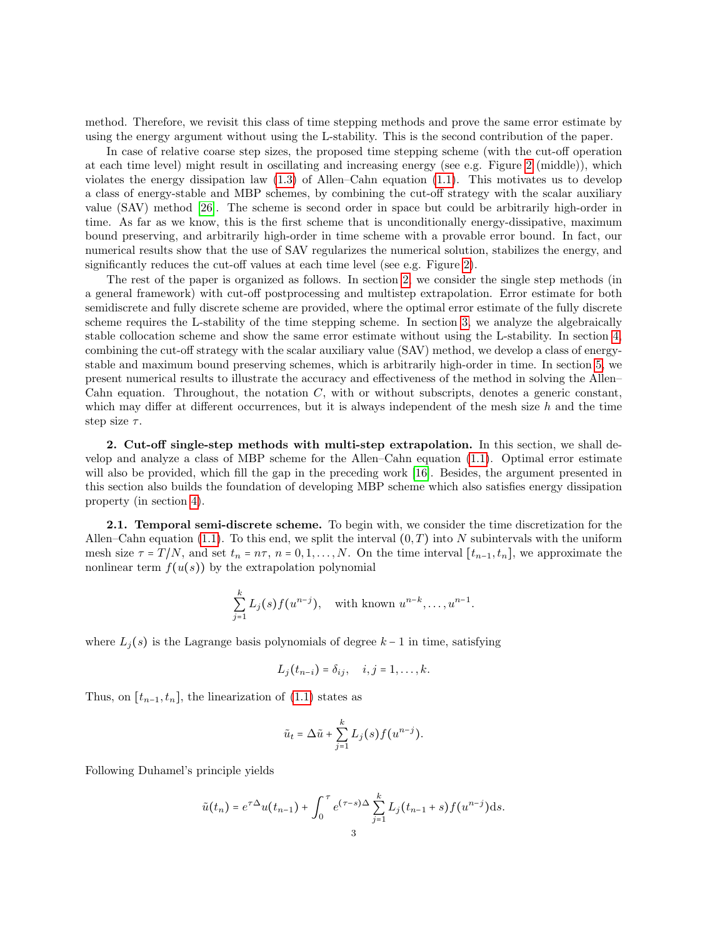method. Therefore, we revisit this class of time stepping methods and prove the same error estimate by using the energy argument without using the L-stability. This is the second contribution of the paper.

In case of relative coarse step sizes, the proposed time stepping scheme (with the cut-off operation at each time level) might result in oscillating and increasing energy (see e.g. Figure [2](#page-26-0) (middle)), which violates the energy dissipation law  $(1.3)$  of Allen–Cahn equation  $(1.1)$ . This motivates us to develop a class of energy-stable and MBP schemes, by combining the cut-off strategy with the scalar auxiliary value (SAV) method [\[26\]](#page-28-7). The scheme is second order in space but could be arbitrarily high-order in time. As far as we know, this is the first scheme that is unconditionally energy-dissipative, maximum bound preserving, and arbitrarily high-order in time scheme with a provable error bound. In fact, our numerical results show that the use of SAV regularizes the numerical solution, stabilizes the energy, and significantly reduces the cut-off values at each time level (see e.g. Figure [2\)](#page-26-0).

The rest of the paper is organized as follows. In section [2,](#page-2-0) we consider the single step methods (in a general framework) with cut-off postprocessing and multistep extrapolation. Error estimate for both semidiscrete and fully discrete scheme are provided, where the optimal error estimate of the fully discrete scheme requires the L-stability of the time stepping scheme. In section [3,](#page-12-1) we analyze the algebraically stable collocation scheme and show the same error estimate without using the L-stability. In section [4,](#page-17-0) combining the cut-off strategy with the scalar auxiliary value (SAV) method, we develop a class of energystable and maximum bound preserving schemes, which is arbitrarily high-order in time. In section [5,](#page-23-0) we present numerical results to illustrate the accuracy and effectiveness of the method in solving the Allen– Cahn equation. Throughout, the notation  $C$ , with or without subscripts, denotes a generic constant, which may differ at different occurrences, but it is always independent of the mesh size  $h$  and the time step size  $\tau$ .

<span id="page-2-0"></span>2. Cut-off single-step methods with multi-step extrapolation. In this section, we shall develop and analyze a class of MBP scheme for the Allen–Cahn equation [\(1.1\)](#page-0-0). Optimal error estimate will also be provided, which fill the gap in the preceding work [\[16\]](#page-27-12). Besides, the argument presented in this section also builds the foundation of developing MBP scheme which also satisfies energy dissipation property (in section [4\)](#page-17-0).

**2.1. Temporal semi-discrete scheme.** To begin with, we consider the time discretization for the Allen–Cahn equation [\(1.1\)](#page-0-0). To this end, we split the interval  $(0, T)$  into N subintervals with the uniform mesh size  $\tau = T/N$ , and set  $t_n = n\tau$ ,  $n = 0, 1, ..., N$ . On the time interval  $[t_{n-1}, t_n]$ , we approximate the nonlinear term  $f(u(s))$  by the extrapolation polynomial

$$
\sum_{j=1}^k L_j(s) f(u^{n-j}), \quad \text{with known } u^{n-k}, \dots, u^{n-1}.
$$

where  $L_j(s)$  is the Lagrange basis polynomials of degree  $k-1$  in time, satisfying

$$
L_j(t_{n-i})=\delta_{ij}, \quad i,j=1,\ldots,k.
$$

Thus, on  $[t_{n-1}, t_n]$ , the linearization of  $(1.1)$  states as

$$
\tilde{u}_t = \Delta \tilde{u} + \sum_{j=1}^k L_j(s) f(u^{n-j}).
$$

Following Duhamel's principle yields

$$
\tilde{u}(t_n) = e^{\tau \Delta} u(t_{n-1}) + \int_0^{\tau} e^{(\tau - s)\Delta} \sum_{j=1}^k L_j(t_{n-1} + s) f(u^{n-j}) ds.
$$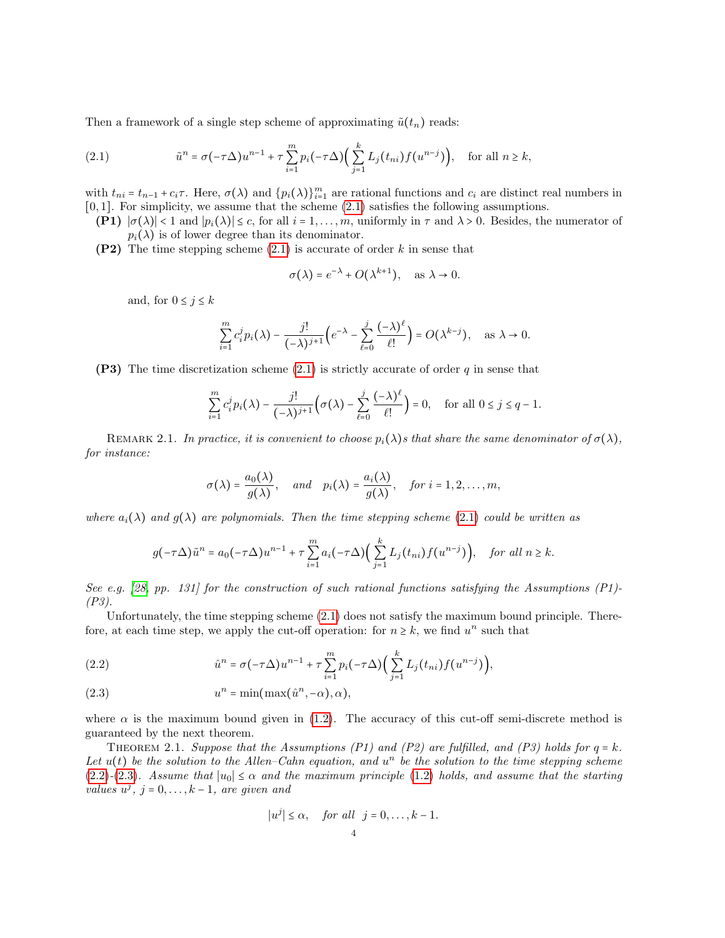Then a framework of a single step scheme of approximating  $\tilde{u}(t_n)$  reads:

<span id="page-3-0"></span>(2.1) 
$$
\tilde{u}^n = \sigma(-\tau \Delta) u^{n-1} + \tau \sum_{i=1}^m p_i(-\tau \Delta) \Big( \sum_{j=1}^k L_j(t_{ni}) f(u^{n-j}) \Big), \text{ for all } n \geq k,
$$

with  $t_{ni} = t_{n-1} + c_i \tau$ . Here,  $\sigma(\lambda)$  and  $\{p_i(\lambda)\}_{i=1}^m$  are rational functions and  $c_i$  are distinct real numbers in [0, 1]. For simplicity, we assume that the scheme [\(2.1\)](#page-3-0) satisfies the following assumptions.

- **(P1)**  $|\sigma(\lambda)| < 1$  and  $|p_i(\lambda)| \leq c$ , for all  $i = 1, ..., m$ , uniformly in  $\tau$  and  $\lambda > 0$ . Besides, the numerator of  $p_i(\lambda)$  is of lower degree than its denominator.
- (P2) The time stepping scheme  $(2.1)$  is accurate of order k in sense that

$$
\sigma(\lambda) = e^{-\lambda} + O(\lambda^{k+1}), \quad \text{as } \lambda \to 0.
$$

and, for  $0 \leq j \leq k$ 

$$
\sum_{i=1}^{m} c_i^j p_i(\lambda) - \frac{j!}{(-\lambda)^{j+1}} \Big(e^{-\lambda} - \sum_{\ell=0}^j \frac{(-\lambda)^{\ell}}{\ell!} \Big) = O(\lambda^{k-j}), \quad \text{as } \lambda \to 0.
$$

(P3) The time discretization scheme  $(2.1)$  is strictly accurate of order q in sense that

$$
\sum_{i=1}^m c_i^j p_i(\lambda) - \frac{j!}{(-\lambda)^{j+1}} \Big(\sigma(\lambda) - \sum_{\ell=0}^j \frac{(-\lambda)^{\ell}}{\ell!} \Big) = 0, \quad \text{for all } 0 \le j \le q-1.
$$

REMARK 2.1. In practice, it is convenient to choose  $p_i(\lambda)$ s that share the same denominator of  $\sigma(\lambda)$ , for instance:

$$
\sigma(\lambda) = \frac{a_0(\lambda)}{g(\lambda)}, \quad \text{and} \quad p_i(\lambda) = \frac{a_i(\lambda)}{g(\lambda)}, \quad \text{for } i = 1, 2, \dots, m,
$$

where  $a_i(\lambda)$  and  $g(\lambda)$  are polynomials. Then the time stepping scheme [\(2.1\)](#page-3-0) could be written as

$$
g(-\tau\Delta)\tilde{u}^n = a_0(-\tau\Delta)u^{n-1} + \tau\sum_{i=1}^m a_i(-\tau\Delta)\Big(\sum_{j=1}^k L_j(t_{ni})f(u^{n-j})\Big), \text{ for all } n \geq k.
$$

See e.g. [\[28,](#page-28-8) pp. 131] for the construction of such rational functions satisfying the Assumptions  $(P1)$ -(P3).

Unfortunately, the time stepping scheme [\(2.1\)](#page-3-0) does not satisfy the maximum bound principle. Therefore, at each time step, we apply the cut-off operation: for  $n \geq k$ , we find  $u^n$  such that

<span id="page-3-1"></span>(2.2) 
$$
\hat{u}^{n} = \sigma(-\tau \Delta)u^{n-1} + \tau \sum_{i=1}^{m} p_{i}(-\tau \Delta) \Big(\sum_{j=1}^{k} L_{j}(t_{ni}) f(u^{n-j})\Big),
$$

<span id="page-3-2"></span>(2.3) 
$$
u^{n} = \min(\max(\hat{u}^{n}, -\alpha), \alpha),
$$

where  $\alpha$  is the maximum bound given in [\(1.2\)](#page-0-2). The accuracy of this cut-off semi-discrete method is guaranteed by the next theorem.

<span id="page-3-3"></span>THEOREM 2.1. Suppose that the Assumptions (P1) and (P2) are fulfilled, and (P3) holds for  $q = k$ . Let  $u(t)$  be the solution to the Allen–Cahn equation, and  $u^n$  be the solution to the time stepping scheme [\(2.2\)](#page-3-1)-[\(2.3\)](#page-3-2). Assume that  $|u_0| \leq \alpha$  and the maximum principle [\(1.2\)](#page-0-2) holds, and assume that the starting values  $u^j$ ,  $j = 0, \ldots, k - 1$ , are given and

$$
|u^j| \le \alpha, \quad \text{for all} \quad j = 0, \dots, k - 1.
$$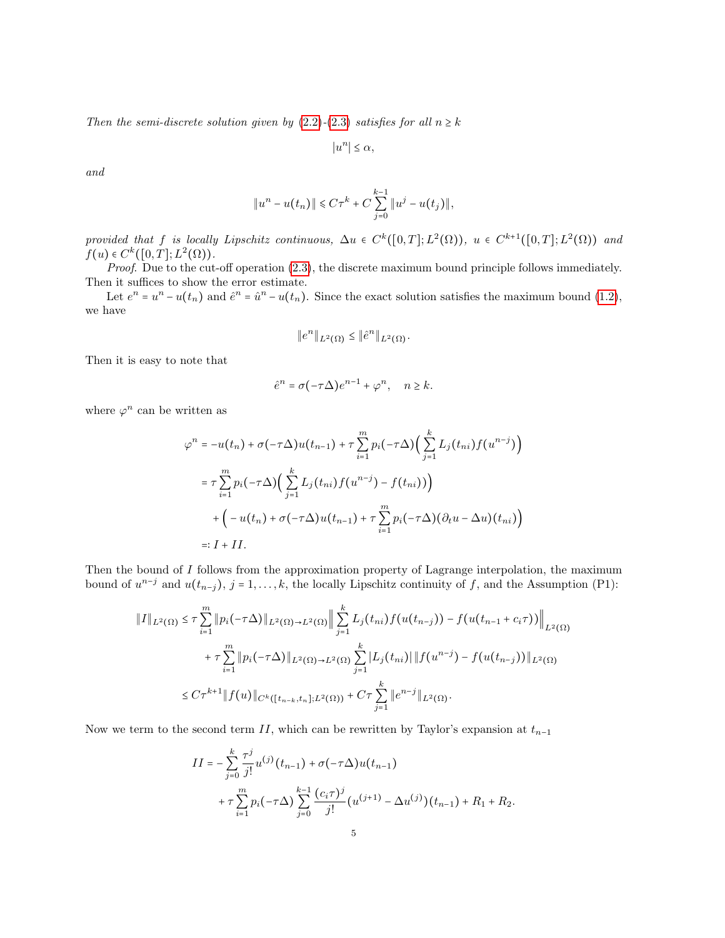Then the semi-discrete solution given by [\(2.2\)](#page-3-1)-[\(2.3\)](#page-3-2) satisfies for all  $n \geq k$ 

 $|u^n| \leq \alpha,$ 

and

$$
||u^{n} - u(t_{n})|| \leq C\tau^{k} + C\sum_{j=0}^{k-1} ||u^{j} - u(t_{j})||,
$$

provided that f is locally Lipschitz continuous,  $\Delta u \in C^k([0,T]; L^2(\Omega))$ ,  $u \in C^{k+1}([0,T]; L^2(\Omega))$  and  $f(x) \in C^k([0,T]; L^2(\Omega))$  $f(u) \in C^k([0,T];L^2(\Omega)).$ <br>Preaf. Due to the cut

Proof. Due to the cut-off operation  $(2.3)$ , the discrete maximum bound principle follows immediately. Then it suffices to show the error estimate.

Let  $e^n = u^n - u(t_n)$  and  $\hat{e}^n = \hat{u}^n - u(t_n)$ . Since the exact solution satisfies the maximum bound [\(1.2\)](#page-0-2), we have

$$
\|e^n\|_{L^2(\Omega)} \le \|\hat{e}^n\|_{L^2(\Omega)}.
$$

Then it is easy to note that

$$
\hat{e}^n = \sigma(-\tau \Delta) e^{n-1} + \varphi^n, \quad n \ge k.
$$

where  $\varphi^n$  can be written as

$$
\varphi^{n} = -u(t_{n}) + \sigma(-\tau\Delta)u(t_{n-1}) + \tau \sum_{i=1}^{m} p_{i}(-\tau\Delta) \Big(\sum_{j=1}^{k} L_{j}(t_{ni})f(u^{n-j})\Big)
$$
  

$$
= \tau \sum_{i=1}^{m} p_{i}(-\tau\Delta) \Big(\sum_{j=1}^{k} L_{j}(t_{ni})f(u^{n-j}) - f(t_{ni}))\Big)
$$
  

$$
+ \Big(-u(t_{n}) + \sigma(-\tau\Delta)u(t_{n-1}) + \tau \sum_{i=1}^{m} p_{i}(-\tau\Delta) (\partial_{t}u - \Delta u)(t_{ni})\Big)
$$
  

$$
=: I + II.
$$

Then the bound of I follows from the approximation property of Lagrange interpolation, the maximum bound of  $u^{n-j}$  and  $u(t_{n-j}), j = 1, \ldots, k$ , the locally Lipschitz continuity of f, and the Assumption (P1):

$$
\|I\|_{L^{2}(\Omega)} \leq \tau \sum_{i=1}^{m} \|p_{i}(-\tau \Delta)\|_{L^{2}(\Omega) \to L^{2}(\Omega)} \|\sum_{j=1}^{k} L_{j}(t_{ni}) f(u(t_{n-j})) - f(u(t_{n-1} + c_{i}\tau))\|_{L^{2}(\Omega)}
$$
  
+  $\tau \sum_{i=1}^{m} \|p_{i}(-\tau \Delta)\|_{L^{2}(\Omega) \to L^{2}(\Omega)} \sum_{j=1}^{k} |L_{j}(t_{ni})| \|f(u^{n-j}) - f(u(t_{n-j}))\|_{L^{2}(\Omega)}$   
 $\leq C\tau^{k+1} \|f(u)\|_{C^{k}([t_{n-k}, t_{n}]; L^{2}(\Omega))} + C\tau \sum_{j=1}^{k} \|e^{n-j}\|_{L^{2}(\Omega)}.$ 

Now we term to the second term II, which can be rewritten by Taylor's expansion at  $t_{n-1}$ 

$$
II = -\sum_{j=0}^{k} \frac{\tau^j}{j!} u^{(j)}(t_{n-1}) + \sigma(-\tau \Delta) u(t_{n-1})
$$
  
+  $\tau \sum_{i=1}^{m} p_i(-\tau \Delta) \sum_{j=0}^{k-1} \frac{(c_i \tau)^j}{j!} (u^{(j+1)} - \Delta u^{(j)})(t_{n-1}) + R_1 + R_2.$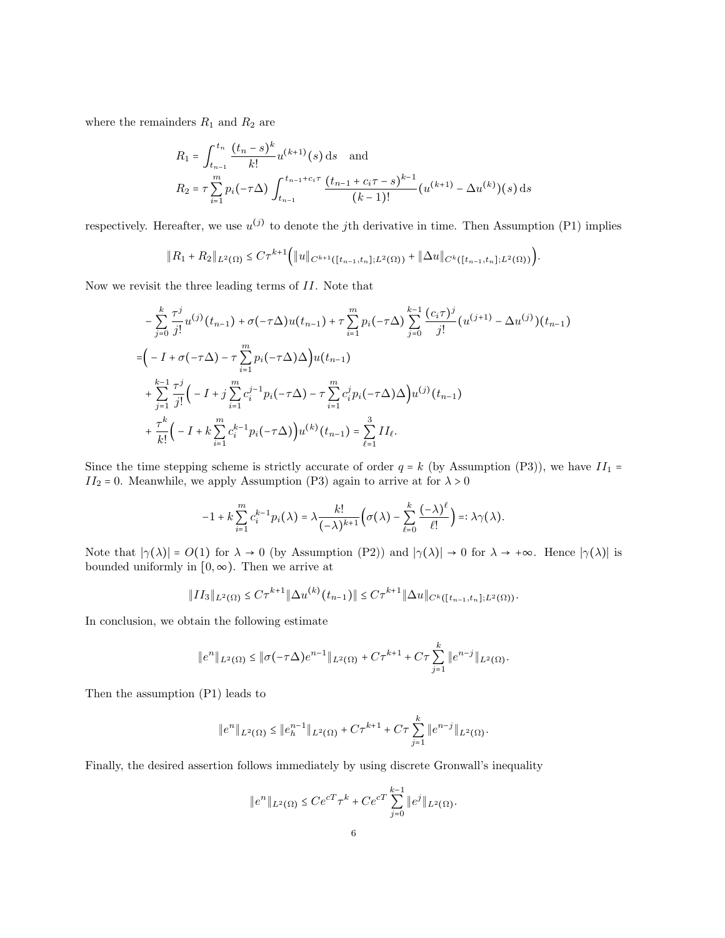where the remainders  ${\cal R}_1$  and  ${\cal R}_2$  are

$$
R_1 = \int_{t_{n-1}}^{t_n} \frac{(t_n - s)^k}{k!} u^{(k+1)}(s) \, ds \quad \text{and}
$$
  
\n
$$
R_2 = \tau \sum_{i=1}^m p_i(-\tau \Delta) \int_{t_{n-1}}^{t_{n-1} + c_i \tau} \frac{(t_{n-1} + c_i \tau - s)^{k-1}}{(k-1)!} (u^{(k+1)} - \Delta u^{(k)})(s) \, ds
$$

respectively. Hereafter, we use  $u^{(j)}$  to denote the *j*th derivative in time. Then Assumption (P1) implies

$$
||R_1 + R_2||_{L^2(\Omega)} \leq C\tau^{k+1} (||u||_{C^{k+1}([t_{n-1},t_n];L^2(\Omega))} + ||\Delta u||_{C^k([t_{n-1},t_n];L^2(\Omega))}).
$$

Now we revisit the three leading terms of II. Note that

$$
-\sum_{j=0}^{k} \frac{\tau^{j}}{j!} u^{(j)}(t_{n-1}) + \sigma(-\tau \Delta) u(t_{n-1}) + \tau \sum_{i=1}^{m} p_{i}(-\tau \Delta) \sum_{j=0}^{k-1} \frac{(c_{i}\tau)^{j}}{j!} (u^{(j+1)} - \Delta u^{(j)})(t_{n-1})
$$
  
\n
$$
= (-I + \sigma(-\tau \Delta) - \tau \sum_{i=1}^{m} p_{i}(-\tau \Delta) \Delta) u(t_{n-1})
$$
  
\n
$$
+ \sum_{j=1}^{k-1} \frac{\tau^{j}}{j!} (-I + j \sum_{i=1}^{m} c_{i}^{j-1} p_{i}(-\tau \Delta) - \tau \sum_{i=1}^{m} c_{i}^{j} p_{i}(-\tau \Delta) \Delta) u^{(j)}(t_{n-1})
$$
  
\n
$$
+ \frac{\tau^{k}}{k!} (-I + k \sum_{i=1}^{m} c_{i}^{k-1} p_{i}(-\tau \Delta) u^{(k)}(t_{n-1}) = \sum_{\ell=1}^{3} II_{\ell}.
$$

Since the time stepping scheme is strictly accurate of order  $q = k$  (by Assumption (P3)), we have  $II_1 =$  $II_2 = 0$ . Meanwhile, we apply Assumption (P3) again to arrive at for  $\lambda > 0$ 

$$
-1 + k \sum_{i=1}^{m} c_i^{k-1} p_i(\lambda) = \lambda \frac{k!}{(-\lambda)^{k+1}} \Big( \sigma(\lambda) - \sum_{\ell=0}^{k} \frac{(-\lambda)^{\ell}}{\ell!} \Big) =: \lambda \gamma(\lambda).
$$

Note that  $|\gamma(\lambda)| = O(1)$  for  $\lambda \to 0$  (by Assumption (P2)) and  $|\gamma(\lambda)| \to 0$  for  $\lambda \to +\infty$ . Hence  $|\gamma(\lambda)|$  is bounded uniformly in  $[0, \infty)$ . Then we arrive at

$$
||II_3||_{L^2(\Omega)} \leq C\tau^{k+1} ||\Delta u^{(k)}(t_{n-1})|| \leq C\tau^{k+1} ||\Delta u||_{C^k([t_{n-1},t_n];L^2(\Omega))}.
$$

In conclusion, we obtain the following estimate

$$
||e^n||_{L^2(\Omega)} \le ||\sigma(-\tau\Delta)e^{n-1}||_{L^2(\Omega)} + C\tau^{k+1} + C\tau \sum_{j=1}^k ||e^{n-j}||_{L^2(\Omega)}.
$$

Then the assumption (P1) leads to

$$
||e^n||_{L^2(\Omega)} \le ||e_h^{n-1}||_{L^2(\Omega)} + C\tau^{k+1} + C\tau \sum_{j=1}^k ||e^{n-j}||_{L^2(\Omega)}.
$$

Finally, the desired assertion follows immediately by using discrete Gronwall's inequality

$$
||e^n||_{L^2(\Omega)} \le Ce^{cT} \tau^k + Ce^{cT} \sum_{j=0}^{k-1} ||e^j||_{L^2(\Omega)}.
$$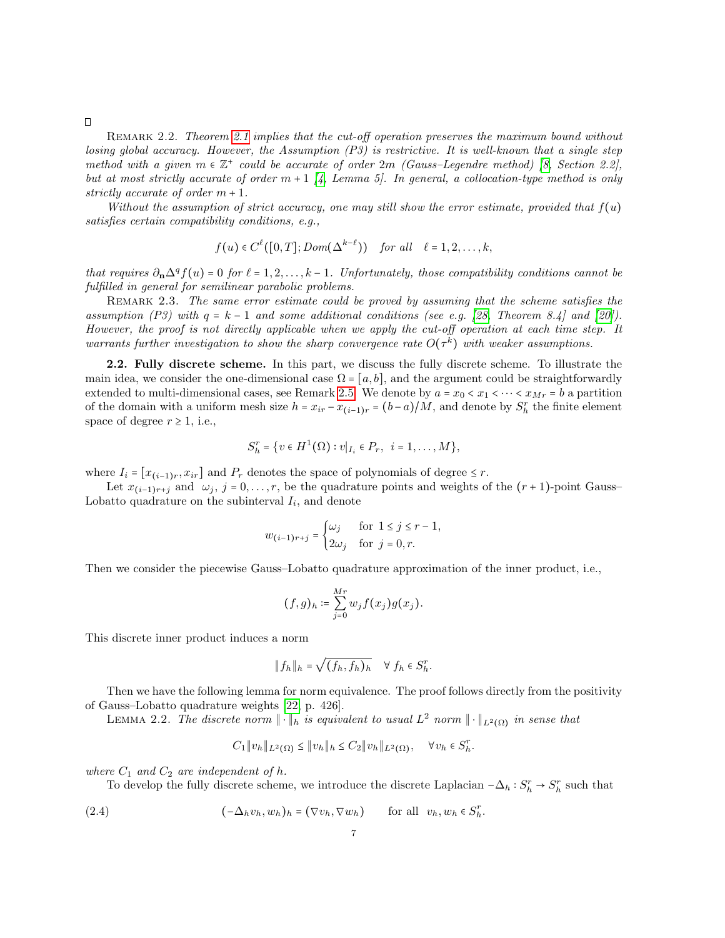REMARK 2.2. Theorem [2.1](#page-3-3) implies that the cut-off operation preserves the maximum bound without losing global accuracy. However, the Assumption (P3) is restrictive. It is well-known that a single step method with a given  $m \in \mathbb{Z}^+$  could be accurate of order  $2m$  (Gauss–Legendre method) [\[8,](#page-27-13) Section 2.2], but at most strictly accurate of order  $m + 1$  [\[4,](#page-27-14) Lemma 5]. In general, a collocation-type method is only strictly accurate of order  $m + 1$ .

Without the assumption of strict accuracy, one may still show the error estimate, provided that  $f(u)$ satisfies certain compatibility conditions, e.g.,

$$
f(u) \in C^{\ell}([0,T]; Dom(\Delta^{k-\ell}))
$$
 for all  $\ell = 1,2,...,k$ ,

that requires  $\partial_{\mathbf{n}} \Delta^q f(u) = 0$  for  $\ell = 1, 2, \ldots, k - 1$ . Unfortunately, those compatibility conditions cannot be fulfilled in general for semilinear parabolic problems.

REMARK 2.3. The same error estimate could be proved by assuming that the scheme satisfies the assumption (P3) with  $q = k - 1$  and some additional conditions (see e.g. [\[28,](#page-28-8) Theorem 8.4] and [\[20\]](#page-27-15)). However, the proof is not directly applicable when we apply the cut-off operation at each time step. It warrants further investigation to show the sharp convergence rate  $O(\tau^k)$  with weaker assumptions.

2.2. Fully discrete scheme. In this part, we discuss the fully discrete scheme. To illustrate the main idea, we consider the one-dimensional case  $\Omega = [a, b]$ , and the argument could be straightforwardly extended to multi-dimensional cases, see Remark [2.5.](#page-12-2) We denote by  $a = x_0 < x_1 < \cdots < x_{Mr} = b$  a partition of the domain with a uniform mesh size  $h = x_{ir} - x_{(i-1)r} = (b-a)/M$ , and denote by  $S_h^r$  the finite element space of degree  $r \geq 1$ , i.e.,

$$
S_h^r = \{ v \in H^1(\Omega) : v|_{I_i} \in P_r, \ i = 1, ..., M \},\
$$

where  $I_i = [x_{(i-1)r}, x_{ir}]$  and  $P_r$  denotes the space of polynomials of degree  $\leq r$ .

Let  $x_{(i-1)r+j}$  and  $\omega_j$ , j = 0, ..., r, be the quadrature points and weights of the  $(r+1)$ -point Gauss– Lobatto quadrature on the subinterval  $I_i$ , and denote

$$
w_{(i-1)r+j} = \begin{cases} \omega_j & \text{for } 1 \le j \le r-1, \\ 2\omega_j & \text{for } j = 0, r. \end{cases}
$$

Then we consider the piecewise Gauss–Lobatto quadrature approximation of the inner product, i.e.,

$$
(f,g)_h \coloneqq \sum_{j=0}^{Mr} w_j f(x_j) g(x_j).
$$

This discrete inner product induces a norm

$$
||f_h||_h = \sqrt{(f_h, f_h)_h} \quad \forall \ f_h \in S_h^r.
$$

Then we have the following lemma for norm equivalence. The proof follows directly from the positivity of Gauss–Lobatto quadrature weights [\[22,](#page-28-9) p. 426].

<span id="page-6-1"></span>LEMMA 2.2. The discrete norm  $\|\cdot\|_h$  is equivalent to usual  $L^2$  norm  $\|\cdot\|_{L^2(\Omega)}$  in sense that

$$
C_1 \|v_h\|_{L^2(\Omega)} \le \|v_h\|_h \le C_2 \|v_h\|_{L^2(\Omega)}, \quad \forall v_h \in S_h^r.
$$

where  $C_1$  and  $C_2$  are independent of h.

To develop the fully discrete scheme, we introduce the discrete Laplacian  $-\Delta_h : S_h^r \to S_h^r$  such that

<span id="page-6-0"></span>(2.4) 
$$
(-\Delta_h v_h, w_h)_h = (\nabla v_h, \nabla w_h) \quad \text{for all } v_h, w_h \in S_h^T.
$$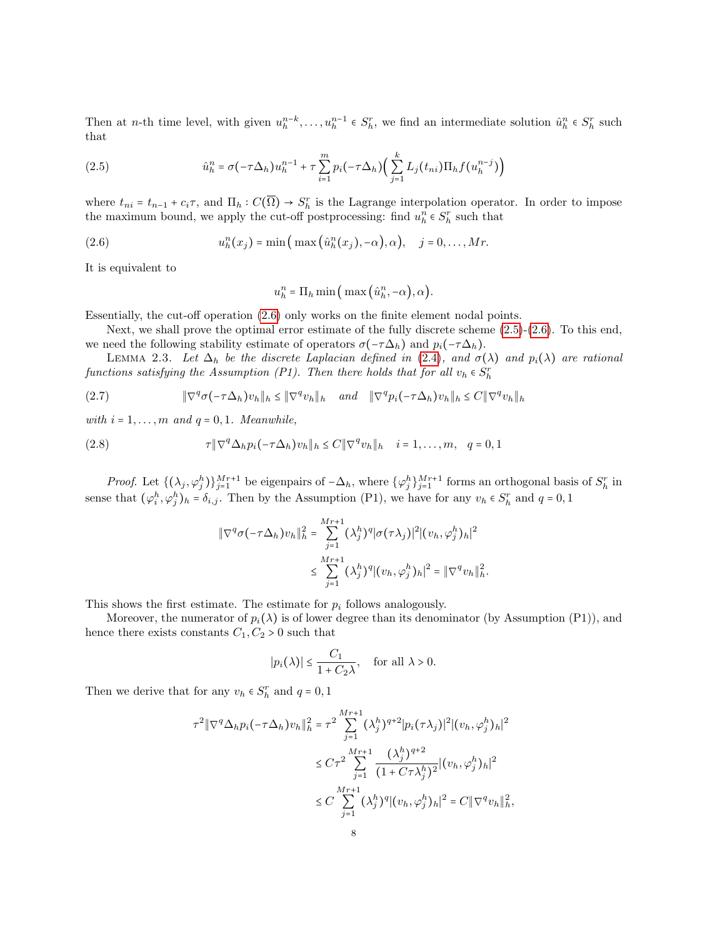Then at *n*-th time level, with given  $u_h^{n-k}, \ldots, u_h^{n-1} \in S_h^r$ , we find an intermediate solution  $\hat{u}_h^n \in S_h^r$  such that that

<span id="page-7-1"></span>(2.5) 
$$
\hat{u}_h^n = \sigma(-\tau \Delta_h) u_h^{n-1} + \tau \sum_{i=1}^m p_i (-\tau \Delta_h) \Big( \sum_{j=1}^k L_j(t_{ni}) \Pi_h f(u_h^{n-j}) \Big)
$$

where  $t_{ni} = t_{n-1} + c_i \tau$ , and  $\Pi_h : C(\overline{\Omega}) \to S_h^r$  is the Lagrange interpolation operator. In order to impose the maximum bound, we apply the cut-off postprocessing: find  $u_h^n \in S_h^r$  such that

<span id="page-7-0"></span>(2.6) 
$$
u_h^n(x_j) = \min\left(\max\left(\hat{u}_h^n(x_j), -\alpha\right), \alpha\right), \quad j = 0, \ldots, Mr.
$$

It is equivalent to

<span id="page-7-3"></span>
$$
u_h^n = \Pi_h \min\left(\max\left(\hat{u}_h^n, -\alpha\right), \alpha\right).
$$

Essentially, the cut-off operation [\(2.6\)](#page-7-0) only works on the finite element nodal points.

Next, we shall prove the optimal error estimate of the fully discrete scheme [\(2.5\)](#page-7-1)-[\(2.6\)](#page-7-0). To this end, we need the following stability estimate of operators  $\sigma(-\tau\Delta_h)$  and  $p_i(-\tau\Delta_h)$ .

LEMMA 2.3. Let  $\Delta_h$  be the discrete Laplacian defined in [\(2.4\)](#page-6-0), and  $\sigma(\lambda)$  and  $p_i(\lambda)$  are rational functions satisfying the Assumption (P1). Then there holds that for all  $v_h \in S_h^r$ 

(2.7) 
$$
\|\nabla^q \sigma(-\tau \Delta_h) v_h\|_h \le \|\nabla^q v_h\|_h \quad \text{and} \quad \|\nabla^q p_i(-\tau \Delta_h) v_h\|_h \le C \|\nabla^q v_h\|_h
$$

with  $i = 1, \ldots, m$  and  $q = 0, 1$ . Meanwhile,

(2.8) 
$$
\tau \|\nabla^q \Delta_h p_i(-\tau \Delta_h) v_h\|_h \leq C \|\nabla^q v_h\|_h \quad i = 1, \dots, m, \quad q = 0, 1
$$

*Proof.* Let  $\{(\lambda_j, \varphi_j^h)\}_{j=1}^{Mr+1}$  be eigenpairs of  $-\Delta_h$ , where  $\{\varphi_j^h\}_{j=1}^{Mr+1}$  forms an orthogonal basis of  $S_h^r$  in sense that  $(\varphi_i^h, \varphi_j^h)_h = \delta_{i,j}$ . Then by the Assumption (P1), we have for any  $v_h \in S_h^r$  and  $q = 0, 1$ 

<span id="page-7-2"></span>
$$
\|\nabla^{q}\sigma(-\tau\Delta_{h})v_{h}\|_{h}^{2} = \sum_{j=1}^{Mr+1} (\lambda_{j}^{h})^{q} |\sigma(\tau\lambda_{j})|^{2} |(v_{h}, \varphi_{j}^{h})_{h}|^{2}
$$
  

$$
\leq \sum_{j=1}^{Mr+1} (\lambda_{j}^{h})^{q} |(v_{h}, \varphi_{j}^{h})_{h}|^{2} = \|\nabla^{q}v_{h}\|_{h}^{2}.
$$

This shows the first estimate. The estimate for  $p_i$  follows analogously.

Moreover, the numerator of  $p_i(\lambda)$  is of lower degree than its denominator (by Assumption (P1)), and hence there exists constants  $C_1, C_2 > 0$  such that

$$
|p_i(\lambda)| \le \frac{C_1}{1 + C_2 \lambda}, \quad \text{for all } \lambda > 0.
$$

Then we derive that for any  $v_h \in S_h^r$  and  $q=0,1$ 

$$
\tau^{2} \|\nabla^{q} \Delta_{h} p_{i}(-\tau \Delta_{h}) v_{h}\|_{h}^{2} = \tau^{2} \sum_{j=1}^{M_{T}+1} (\lambda_{j}^{h})^{q+2} |p_{i}(\tau \lambda_{j})|^{2} |(v_{h}, \varphi_{j}^{h})_{h}|^{2}
$$
  

$$
\leq C \tau^{2} \sum_{j=1}^{M_{T}+1} \frac{(\lambda_{j}^{h})^{q+2}}{(1 + C \tau \lambda_{j}^{h})^{2}} |(v_{h}, \varphi_{j}^{h})_{h}|^{2}
$$
  

$$
\leq C \sum_{j=1}^{M_{T}+1} (\lambda_{j}^{h})^{q} |(v_{h}, \varphi_{j}^{h})_{h}|^{2} = C \|\nabla^{q} v_{h}\|_{h}^{2},
$$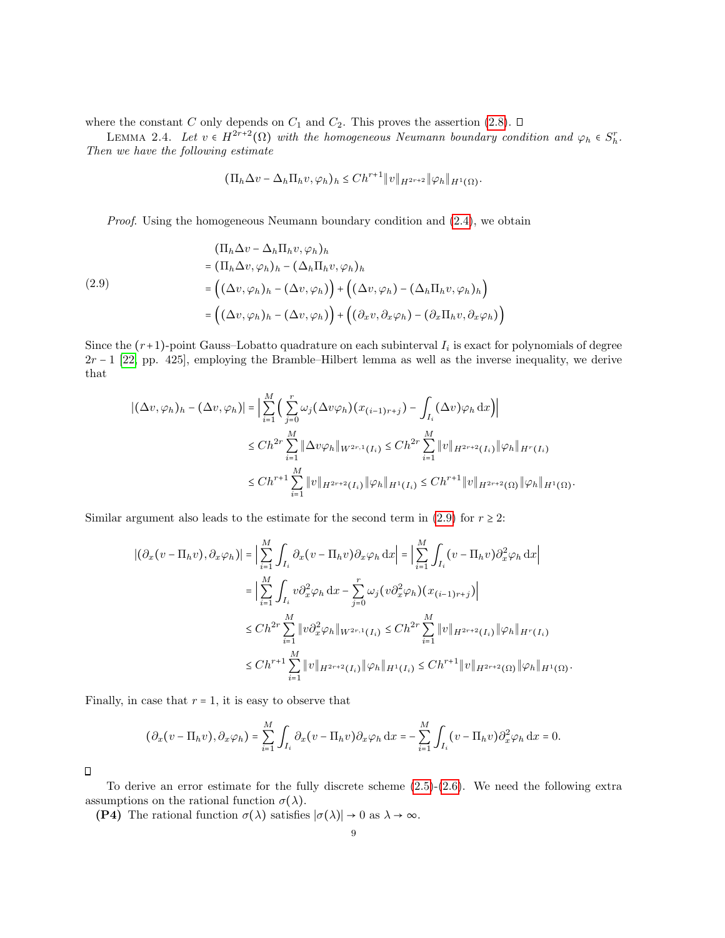where the constant C only depends on  $C_1$  and  $C_2$ . This proves the assertion [\(2.8\)](#page-7-2).  $\Box$ 

<span id="page-8-1"></span>LEMMA 2.4. Let  $v \in H^{2r+2}(\Omega)$  with the homogeneous Neumann boundary condition and  $\varphi_h \in S_h^r$ . Then we have the following estimate

<span id="page-8-0"></span>
$$
(\Pi_h \Delta v - \Delta_h \Pi_h v, \varphi_h)_h \le Ch^{r+1} \|v\|_{H^{2r+2}} \|\varphi_h\|_{H^1(\Omega)}.
$$

*Proof.* Using the homogeneous Neumann boundary condition and  $(2.4)$ , we obtain

(2.9)  
\n
$$
\begin{aligned}\n &(\Pi_h \Delta v - \Delta_h \Pi_h v, \varphi_h)_h \\
 &= (\Pi_h \Delta v, \varphi_h)_h - (\Delta_h \Pi_h v, \varphi_h)_h \\
 &= \left( (\Delta v, \varphi_h)_h - (\Delta v, \varphi_h) \right) + \left( (\Delta v, \varphi_h) - (\Delta_h \Pi_h v, \varphi_h)_h \right) \\
 &= \left( (\Delta v, \varphi_h)_h - (\Delta v, \varphi_h) \right) + \left( (\partial_x v, \partial_x \varphi_h) - (\partial_x \Pi_h v, \partial_x \varphi_h) \right)\n\end{aligned}
$$

Since the  $(r+1)$ -point Gauss–Lobatto quadrature on each subinterval  $I_i$  is exact for polynomials of degree  $2r - 1$  [\[22,](#page-28-9) pp. 425], employing the Bramble–Hilbert lemma as well as the inverse inequality, we derive that

$$
\begin{aligned} |(\Delta v, \varphi_h)_h - (\Delta v, \varphi_h)| &= \Big| \sum_{i=1}^M \Big( \sum_{j=0}^r \omega_j (\Delta v \varphi_h)(x_{(i-1)r+j}) - \int_{I_i} (\Delta v) \varphi_h \, dx \Big) \Big| \\ &\le Ch^{2r} \sum_{i=1}^M \|\Delta v \varphi_h\|_{W^{2r,1}(I_i)} \le Ch^{2r} \sum_{i=1}^M \|v\|_{H^{2r+2}(I_i)} \|\varphi_h\|_{H^r(I_i)} \\ &\le Ch^{r+1} \sum_{i=1}^M \|v\|_{H^{2r+2}(I_i)} \|\varphi_h\|_{H^1(I_i)} \le Ch^{r+1} \|v\|_{H^{2r+2}(\Omega)} \|\varphi_h\|_{H^1(\Omega)} \end{aligned}
$$

.

.

Similar argument also leads to the estimate for the second term in [\(2.9\)](#page-8-0) for  $r \geq 2$ :

$$
\begin{split} |(\partial_x(v - \Pi_h v), \partial_x \varphi_h)| &= \Big| \sum_{i=1}^M \int_{I_i} \partial_x(v - \Pi_h v) \partial_x \varphi_h \, dx \Big| = \Big| \sum_{i=1}^M \int_{I_i} (v - \Pi_h v) \partial_x^2 \varphi_h \, dx \Big| \\ &= \Big| \sum_{i=1}^M \int_{I_i} v \partial_x^2 \varphi_h \, dx - \sum_{j=0}^r \omega_j (v \partial_x^2 \varphi_h) (x_{(i-1)r+j}) \Big| \\ &\le Ch^{2r} \sum_{i=1}^M \|v \partial_x^2 \varphi_h\|_{W^{2r,1}(I_i)} \le Ch^{2r} \sum_{i=1}^M \|v\|_{H^{2r+2}(I_i)} \|\varphi_h\|_{H^r(I_i)} \\ &\le Ch^{r+1} \sum_{i=1}^M \|v\|_{H^{2r+2}(I_i)} \|\varphi_h\|_{H^1(I_i)} \le Ch^{r+1} \|v\|_{H^{2r+2}(\Omega)} \|\varphi_h\|_{H^1(\Omega)} \end{split}
$$

Finally, in case that  $r = 1$ , it is easy to observe that

$$
(\partial_x(v - \Pi_h v), \partial_x \varphi_h) = \sum_{i=1}^M \int_{I_i} \partial_x(v - \Pi_h v) \partial_x \varphi_h \,dx = -\sum_{i=1}^M \int_{I_i} (v - \Pi_h v) \partial_x^2 \varphi_h \,dx = 0.
$$

 $\Box$ 

To derive an error estimate for the fully discrete scheme  $(2.5)-(2.6)$  $(2.5)-(2.6)$  $(2.5)-(2.6)$ . We need the following extra assumptions on the rational function  $\sigma(\lambda)$ .

(P4) The rational function  $\sigma(\lambda)$  satisfies  $|\sigma(\lambda)| \to 0$  as  $\lambda \to \infty$ .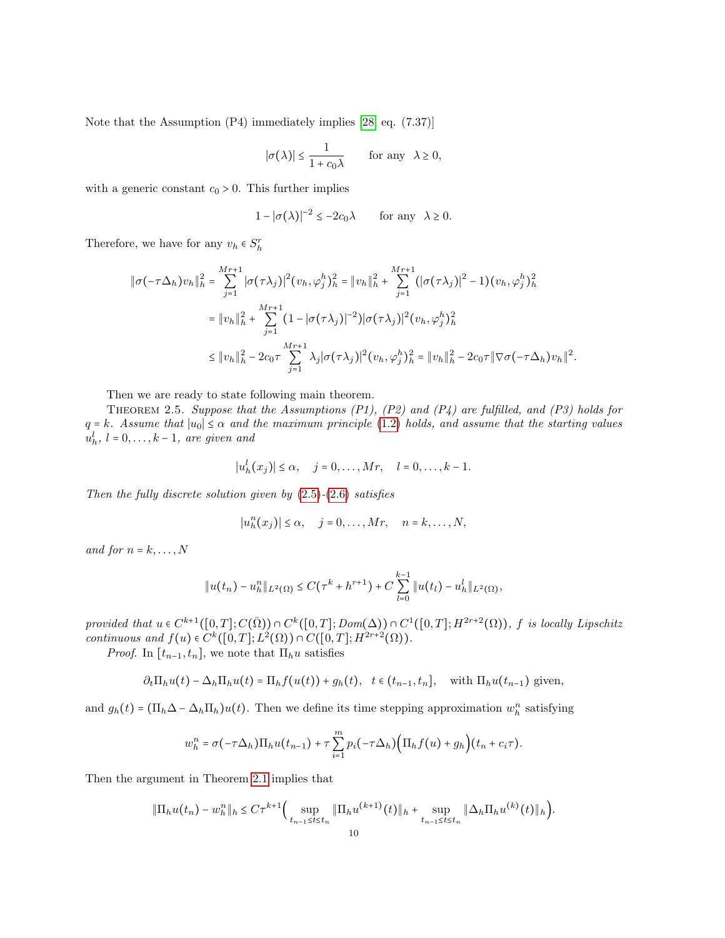Note that the Assumption (P4) immediately implies [\[28,](#page-28-8) eq. (7.37)]

$$
|\sigma(\lambda)| \le \frac{1}{1 + c_0 \lambda} \quad \text{for any } \lambda \ge 0,
$$

with a generic constant  $c_0 > 0$ . This further implies

$$
1 - |\sigma(\lambda)|^{-2} \le -2c_0\lambda \quad \text{for any } \lambda \ge 0.
$$

Therefore, we have for any  $v_h \in S_h^r$ 

$$
\|\sigma(-\tau\Delta_h)v_h\|_h^2 = \sum_{j=1}^{Mr+1} |\sigma(\tau\lambda_j)|^2 (v_h, \varphi_j^h)_h^2 = \|v_h\|_h^2 + \sum_{j=1}^{Mr+1} (|\sigma(\tau\lambda_j)|^2 - 1) (v_h, \varphi_j^h)_h^2
$$
  

$$
= \|v_h\|_h^2 + \sum_{j=1}^{Mr+1} (1 - |\sigma(\tau\lambda_j)|^{-2}) |\sigma(\tau\lambda_j)|^2 (v_h, \varphi_j^h)_h^2
$$
  

$$
\leq \|v_h\|_h^2 - 2c_0\tau \sum_{j=1}^{Mr+1} \lambda_j |\sigma(\tau\lambda_j)|^2 (v_h, \varphi_j^h)_h^2 = \|v_h\|_h^2 - 2c_0\tau \|\nabla\sigma(-\tau\Delta_h)v_h\|^2.
$$

Then we are ready to state following main theorem.

<span id="page-9-0"></span>THEOREM 2.5. Suppose that the Assumptions  $(P1)$ ,  $(P2)$  and  $(P4)$  are fulfilled, and  $(P3)$  holds for  $q = k$ . Assume that  $|u_0| \le \alpha$  and the maximum principle [\(1.2\)](#page-0-2) holds, and assume that the starting values  $u_h^l$ ,  $l = 0, \ldots, k - 1$ , are given and

$$
|u_h^l(x_j)| \leq \alpha, \quad j = 0, \ldots, Mr, \quad l = 0, \ldots, k-1.
$$

Then the fully discrete solution given by  $(2.5)-(2.6)$  $(2.5)-(2.6)$  $(2.5)-(2.6)$  satisfies

$$
|u_h^n(x_j)| \leq \alpha, \quad j = 0, \dots, Mr, \quad n = k, \dots, N,
$$

and for  $n = k, \ldots, N$ 

$$
||u(t_n)-u_h^n||_{L^2(\Omega)} \leq C(\tau^k+h^{r+1})+C\sum_{l=0}^{k-1}||u(t_l)-u_h^l||_{L^2(\Omega)},
$$

provided that  $u \in C^{k+1}([0,T]; C(\bar{\Omega})) \cap C^k([0,T]; Dom(\Delta)) \cap C^1([0,T]; H^{2r+2}(\Omega)),$  f is locally Lipschitz<br>continuous and  $f(x) \in C^k([0,T], L^2(\Omega)) \cap C^1([0,T], H^{2r+2}(\Omega)),$ continuous and  $f(u) \in C^k([0,T]; L^2(\Omega)) \cap C([0,T]; H^{2r+2}(\Omega)).$ 

*Proof.* In  $[t_{n-1}, t_n]$ , we note that  $\Pi_h u$  satisfies

$$
\partial_t \Pi_h u(t) - \Delta_h \Pi_h u(t) = \Pi_h f(u(t)) + g_h(t), \quad t \in (t_{n-1}, t_n], \quad \text{with } \Pi_h u(t_{n-1}) \text{ given,}
$$

and  $g_h(t) = (\Pi_h \Delta - \Delta_h \Pi_h) u(t)$ . Then we define its time stepping approximation  $w_h^n$  satisfying

$$
w_h^n = \sigma(-\tau \Delta_h) \Pi_h u(t_{n-1}) + \tau \sum_{i=1}^m p_i(-\tau \Delta_h) \Big( \Pi_h f(u) + g_h \Big) (t_n + c_i \tau).
$$

Then the argument in Theorem [2.1](#page-3-3) implies that

$$
\|\Pi_h u(t_n) - w_h^n\|_h \le C\tau^{k+1} \Big(\sup_{t_{n-1} \le t \le t_n} \|\Pi_h u^{(k+1)}(t)\|_h + \sup_{t_{n-1} \le t \le t_n} \|\Delta_h \Pi_h u^{(k)}(t)\|_h\Big).
$$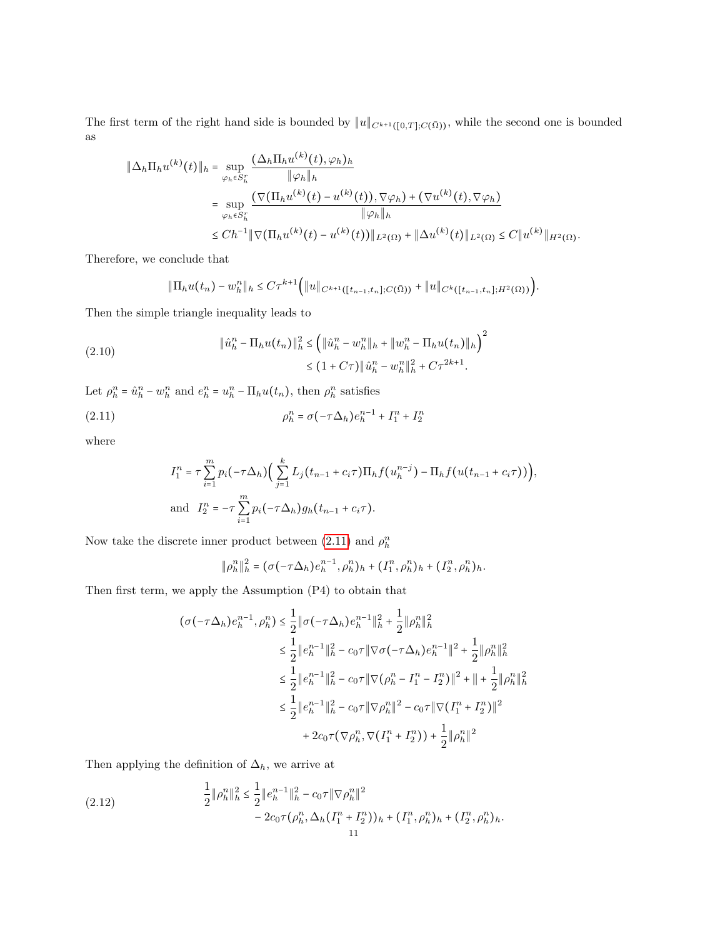The first term of the right hand side is bounded by  $||u||_{C^{k+1}([0,T];C(\bar{\Omega}))}$ , while the second one is bounded as

$$
\|\Delta_h \Pi_h u^{(k)}(t)\|_{h} = \sup_{\varphi_h \in S_h^r} \frac{(\Delta_h \Pi_h u^{(k)}(t), \varphi_h)_h}{\|\varphi_h\|_{h}}
$$
  
\n
$$
= \sup_{\varphi_h \in S_h^r} \frac{(\nabla(\Pi_h u^{(k)}(t) - u^{(k)}(t)), \nabla \varphi_h) + (\nabla u^{(k)}(t), \nabla \varphi_h)}{\|\varphi_h\|_{h}}
$$
  
\n
$$
\leq Ch^{-1} \|\nabla(\Pi_h u^{(k)}(t) - u^{(k)}(t))\|_{L^2(\Omega)} + \|\Delta u^{(k)}(t)\|_{L^2(\Omega)} \leq C \|u^{(k)}\|_{H^2(\Omega)}.
$$

Therefore, we conclude that

$$
\|\Pi_h u(t_n) - w_h^n\|_h \leq C\tau^{k+1} \Big( \|u\|_{C^{k+1}([t_{n-1}, t_n]; C(\bar{\Omega}))} + \|u\|_{C^k([t_{n-1}, t_n]; H^2(\Omega))} \Big).
$$

Then the simple triangle inequality leads to

<span id="page-10-2"></span>(2.10) 
$$
\|\hat{u}_h^n - \Pi_h u(t_n)\|_h^2 \leq \left(\|\hat{u}_h^n - w_h^n\|_h + \|w_h^n - \Pi_h u(t_n)\|_h\right)^2 \leq (1 + C\tau) \|\hat{u}_h^n - w_h^n\|_h^2 + C\tau^{2k+1}.
$$

Let  $\rho_h^n = \hat{u}_h^n - w_h^n$  and  $e_h^n = u_h^n - \Pi_h u(t_n)$ , then  $\rho_h^n$  satisfies

<span id="page-10-0"></span>(2.11) 
$$
\rho_h^n = \sigma(-\tau \Delta_h) e_h^{n-1} + I_1^n + I_2^n
$$

where

$$
I_1^n = \tau \sum_{i=1}^m p_i(-\tau \Delta_h) \Big( \sum_{j=1}^k L_j(t_{n-1} + c_i \tau) \Pi_h f(u_h^{n-j}) - \Pi_h f(u(t_{n-1} + c_i \tau)) \Big),
$$
  
and 
$$
I_2^n = -\tau \sum_{i=1}^m p_i(-\tau \Delta_h) g_h(t_{n-1} + c_i \tau).
$$

Now take the discrete inner product between [\(2.11\)](#page-10-0) and  $\rho_h^n$ 

$$
\|\rho_h^n\|_h^2 = (\sigma(-\tau\Delta_h)e_h^{n-1},\rho_h^n)_h + (I_1^n,\rho_h^n)_h + (I_2^n,\rho_h^n)_h.
$$

Then first term, we apply the Assumption (P4) to obtain that

$$
(\sigma(-\tau \Delta_h)e_h^{n-1}, \rho_h^n) \leq \frac{1}{2} \|\sigma(-\tau \Delta_h)e_h^{n-1}\|_h^2 + \frac{1}{2} \|\rho_h^n\|_h^2
$$
  
\n
$$
\leq \frac{1}{2} \|e_h^{n-1}\|_h^2 - c_0 \tau \|\nabla \sigma(-\tau \Delta_h)e_h^{n-1}\|^2 + \frac{1}{2} \|\rho_h^n\|_h^2
$$
  
\n
$$
\leq \frac{1}{2} \|e_h^{n-1}\|_h^2 - c_0 \tau \|\nabla(\rho_h^n - I_1^n - I_2^n)\|^2 + \|\tau\|_2 \|\rho_h^n\|_h^2
$$
  
\n
$$
\leq \frac{1}{2} \|e_h^{n-1}\|_h^2 - c_0 \tau \|\nabla \rho_h^n\|^2 - c_0 \tau \|\nabla(I_1^n + I_2^n)\|^2
$$
  
\n
$$
+ 2c_0 \tau (\nabla \rho_h^n, \nabla(I_1^n + I_2^n)) + \frac{1}{2} \|\rho_h^n\|^2
$$

Then applying the definition of  $\Delta_h,$  we arrive at

<span id="page-10-1"></span>(2.12) 
$$
\frac{1}{2} \|\rho_h^n\|_h^2 \le \frac{1}{2} \|e_h^{n-1}\|_h^2 - c_0 \tau \|\nabla \rho_h^n\|^2 - 2c_0 \tau (\rho_h^n, \Delta_h (I_1^n + I_2^n))_h + (I_1^n, \rho_h^n)_h + (I_2^n, \rho_h^n)_h.
$$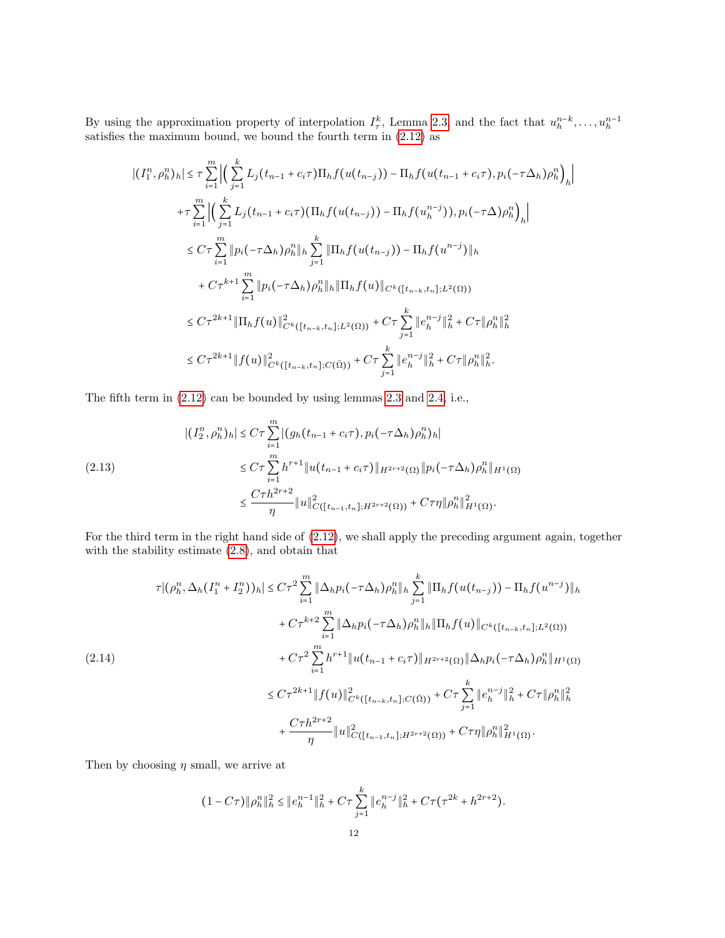By using the approximation property of interpolation  $I_{\tau}^{k}$ , Lemma [2.3,](#page-7-3) and the fact that  $u_{h}^{n-k}, \ldots, u_{h}^{n-1}$  satisfies the maximum bound, we bound the fourth term in [\(2.12\)](#page-10-1) as

$$
\left| (I_1^n, \rho_h^n)_h \right| \leq \tau \sum_{i=1}^m \left| \left( \sum_{j=1}^k L_j(t_{n-1} + c_i \tau) \Pi_h f(u(t_{n-j})) - \Pi_h f(u(t_{n-1} + c_i \tau), p_i(-\tau \Delta_h) \rho_h^n) \right)_h \right|
$$
  
+ 
$$
\tau \sum_{i=1}^m \left| \left( \sum_{j=1}^k L_j(t_{n-1} + c_i \tau) (\Pi_h f(u(t_{n-j})) - \Pi_h f(u_h^{n-j})), p_i(-\tau \Delta) \rho_h^n) \right)_h \right|
$$
  

$$
\leq C \tau \sum_{i=1}^m \left\| p_i(-\tau \Delta_h) \rho_h^n \right\|_h \sum_{j=1}^k \left\| \Pi_h f(u(t_{n-j})) - \Pi_h f(u^{n-j}) \right\|_h
$$
  
+ 
$$
C \tau^{k+1} \sum_{i=1}^m \left\| p_i(-\tau \Delta_h) \rho_h^n \right\|_h \left\| \Pi_h f(u) \right\|_{C^k([t_{n-k}, t_n]; L^2(\Omega))}
$$
  

$$
\leq C \tau^{2k+1} \left\| \Pi_h f(u) \right\|_{C^k([t_{n-k}, t_n]; L^2(\Omega))}^2 + C \tau \sum_{j=1}^k \left\| e_h^{n-j} \right\|_h^2 + C \tau \left\| \rho_h^n \right\|_h^2
$$
  

$$
\leq C \tau^{2k+1} \left\| f(u) \right\|_{C^k([t_{n-k}, t_n]; C(\bar{\Omega}))}^2 + C \tau \sum_{j=1}^k \left\| e_h^{n-j} \right\|_h^2 + C \tau \left\| \rho_h^n \right\|_h^2.
$$

The fifth term in [\(2.12\)](#page-10-1) can be bounded by using lemmas [2.3](#page-7-3) and [2.4,](#page-8-1) i.e.,

<span id="page-11-0"></span>
$$
|(I_2^n, \rho_h^n)_h| \le C\tau \sum_{i=1}^m |(g_h(t_{n-1} + c_i\tau), p_i(-\tau \Delta_h)\rho_h^n)_h|
$$
  
\n
$$
\le C\tau \sum_{i=1}^m h^{r+1} \|u(t_{n-1} + c_i\tau)\|_{H^{2r+2}(\Omega)} \|p_i(-\tau \Delta_h)\rho_h^n\|_{H^1(\Omega)}
$$
  
\n
$$
\le \frac{C\tau h^{2r+2}}{\eta} \|u\|_{C([t_{n-1}, t_n]; H^{2r+2}(\Omega))}^2 + C\tau \eta \|\rho_h^n\|_{H^1(\Omega)}^2.
$$

For the third term in the right hand side of [\(2.12\)](#page-10-1), we shall apply the preceding argument again, together with the stability estimate [\(2.8\)](#page-7-2), and obtain that

<span id="page-11-1"></span>
$$
\tau |(\rho_h^n, \Delta_h(I_1^n + I_2^n))_h| \le C\tau^2 \sum_{i=1}^m \|\Delta_h p_i(-\tau \Delta_h) \rho_h^n\|_h \sum_{j=1}^k \|\Pi_h f(u(t_{n-j})) - \Pi_h f(u^{n-j})\|_h
$$
  
+  $C\tau^{k+2} \sum_{i=1}^m \|\Delta_h p_i(-\tau \Delta_h) \rho_h^n\|_h \|\Pi_h f(u)\|_{C^k([t_{n-k}, t_n]; L^2(\Omega))}$   
(2.14)  
+  $C\tau^2 \sum_{i=1}^m h^{r+1} \|u(t_{n-1} + c_i\tau)\|_{H^{2r+2}(\Omega)} \|\Delta_h p_i(-\tau \Delta_h) \rho_h^n\|_{H^1(\Omega)}$   
 $\le C\tau^{2k+1} \|f(u)\|_{C^k([t_{n-k}, t_n]; C(\bar{\Omega}))}^2 + C\tau \sum_{j=1}^k \|e_h^{n-j}\|_h^2 + C\tau \|\rho_h^n\|_h^2$   
+  $\frac{C\tau h^{2r+2}}{\eta} \|u\|_{C([t_{n-1}, t_n]; H^{2r+2}(\Omega))}^2 + C\tau \eta \|\rho_h^n\|_{H^1(\Omega)}^2.$ 

Then by choosing  $\eta$  small, we arrive at

$$
(1 - C\tau) \|\rho_h^n\|_h^2 \le \|e_h^{n-1}\|_h^2 + C\tau \sum_{j=1}^k \|e_h^{n-j}\|_h^2 + C\tau (\tau^{2k} + h^{2r+2}).
$$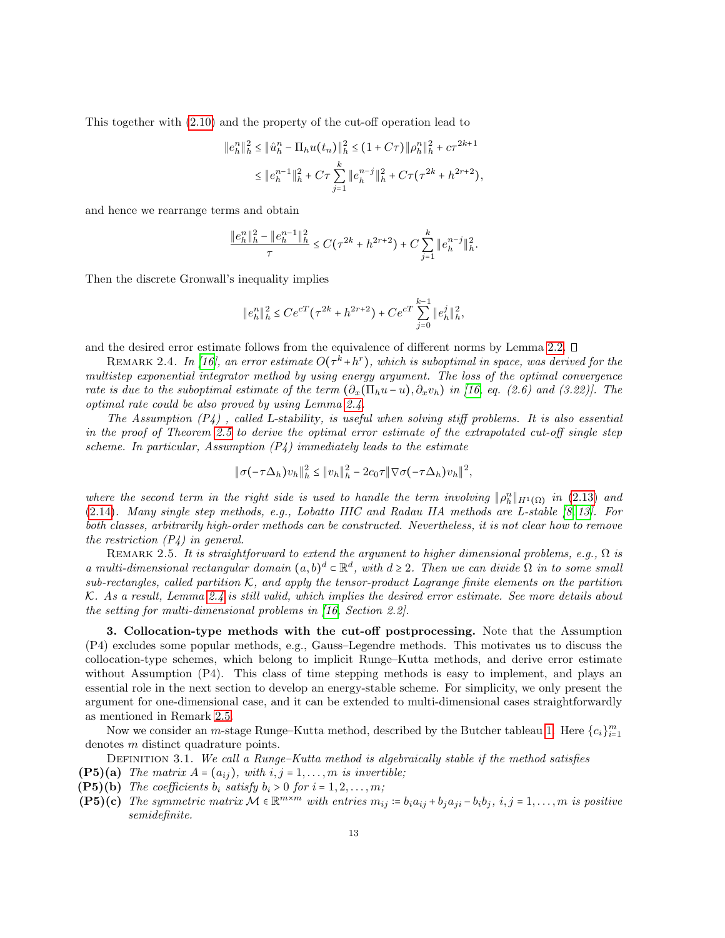This together with [\(2.10\)](#page-10-2) and the property of the cut-off operation lead to

$$
\begin{aligned} \|e_h^n\|_h^2 &\le \|\hat{u}_h^n - \Pi_h u(t_n)\|_h^2 \le (1 + C\tau) \| \rho_h^n \|_h^2 + c\tau^{2k+1} \\ &\le \|e_h^{n-1}\|_h^2 + C\tau \sum_{j=1}^k \|e_h^{n-j}\|_h^2 + C\tau (\tau^{2k} + h^{2r+2}), \end{aligned}
$$

and hence we rearrange terms and obtain

$$
\frac{\|e_h^n\|_h^2 - \|e_h^{n-1}\|_h^2}{\tau} \le C(\tau^{2k} + h^{2r+2}) + C \sum_{j=1}^k \|e_h^{n-j}\|_h^2.
$$

Then the discrete Gronwall's inequality implies

$$
\|e_h^n\|_h^2 \le Ce^{cT}(\tau^{2k} + h^{2r+2}) + Ce^{cT} \sum_{j=0}^{k-1} \|e_h^j\|_h^2,
$$

and the desired error estimate follows from the equivalence of different norms by Lemma [2.2.](#page-6-1)

<span id="page-12-0"></span>REMARK 2.4. In [\[16\]](#page-27-12), an error estimate  $O(\tau^k + h^r)$ , which is suboptimal in space, was derived for the multistep exponential integrator method by using energy argument. The loss of the optimal convergence rate is due to the suboptimal estimate of the term  $(\partial_x(\Pi_hu-u), \partial_xv_h)$  in [\[16,](#page-27-12) eq. (2.6) and (3.22)]. The optimal rate could be also proved by using Lemma [2.4.](#page-8-1)

The Assumption  $(P_4)$ , called L-stability, is useful when solving stiff problems. It is also essential in the proof of Theorem [2.5](#page-9-0) to derive the optimal error estimate of the extrapolated cut-off single step scheme. In particular, Assumption  $(P_4)$  immediately leads to the estimate

$$
\|\sigma(-\tau\Delta_h)v_h\|_h^2 \leq \|v_h\|_h^2 - 2c_0\tau \|\nabla\sigma(-\tau\Delta_h)v_h\|^2,
$$

where the second term in the right side is used to handle the term involving  $\|\rho_h^n\|_{H^1(\Omega)}$  in [\(2.13\)](#page-11-0) and [\(2.14\)](#page-11-1). Many single step methods, e.g., Lobatto IIIC and Radau IIA methods are L-stable [\[8,](#page-27-13) [13\]](#page-27-16). For both classes, arbitrarily high-order methods can be constructed. Nevertheless, it is not clear how to remove the restriction  $(P_4)$  in general.

<span id="page-12-2"></span>REMARK 2.5. It is straightforward to extend the argument to higher dimensional problems, e.g.,  $\Omega$  is a multi-dimensional rectangular domain  $(a, b)^d \subset \mathbb{R}^d$ , with  $d \geq 2$ . Then we can divide  $\Omega$  in to some small sub-rectangles, called partition  $K$ , and apply the tensor-product Lagrange finite elements on the partition K. As a result, Lemma [2.4](#page-8-1) is still valid, which implies the desired error estimate. See more details about the setting for multi-dimensional problems in [\[16,](#page-27-12) Section 2.2].

<span id="page-12-1"></span>3. Collocation-type methods with the cut-off postprocessing. Note that the Assumption (P4) excludes some popular methods, e.g., Gauss–Legendre methods. This motivates us to discuss the collocation-type schemes, which belong to implicit Runge–Kutta methods, and derive error estimate without Assumption (P4). This class of time stepping methods is easy to implement, and plays an essential role in the next section to develop an energy-stable scheme. For simplicity, we only present the argument for one-dimensional case, and it can be extended to multi-dimensional cases straightforwardly as mentioned in Remark [2.5.](#page-12-2)

Now we consider an *m*-stage Runge–Kutta method, described by the Butcher tableau [1.](#page-13-0) Here  $\{c_i\}_{i=1}^m$ denotes m distinct quadrature points.

DEFINITION 3.1. We call a Runge–Kutta method is algebraically stable if the method satisfies

- **(P5)(a)** The matrix  $A = (a_{ij})$ , with  $i, j = 1, \ldots, m$  is invertible;
- (P5)(b) The coefficients  $b_i$  satisfy  $b_i > 0$  for  $i = 1, 2, \ldots, m$ ;
- $(PS)(c)$  The symmetric matrix  $\mathcal{M} \in \mathbb{R}^{m \times m}$  with entries  $m_{ij} \coloneqq b_i a_{ij} + b_j a_{ji} b_i b_j$ ,  $i, j = 1, ..., m$  is positive semidefinite.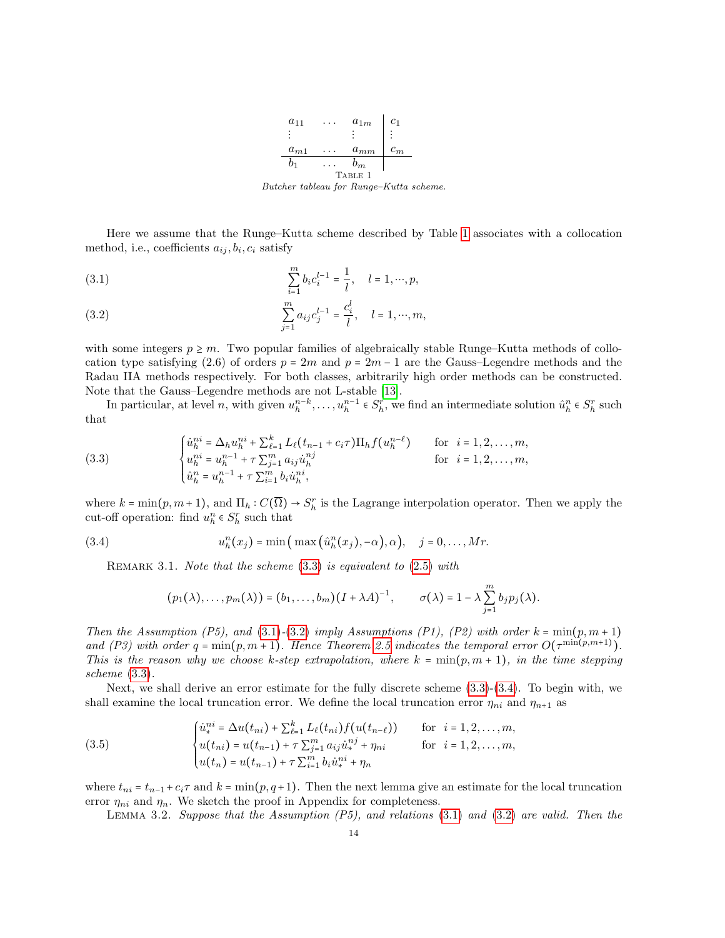<span id="page-13-0"></span>

Here we assume that the Runge–Kutta scheme described by Table [1](#page-13-0) associates with a collocation method, i.e., coefficients  $a_{ij}, b_i, c_i$  satisfy

<span id="page-13-2"></span>(3.1) 
$$
\sum_{i=1}^{m} b_i c_i^{l-1} = \frac{1}{l}, \quad l = 1, \cdots, p,
$$

<span id="page-13-3"></span>(3.2) 
$$
\sum_{j=1}^{m} a_{ij} c_j^{l-1} = \frac{c_i^l}{l}, \quad l = 1, \cdots, m,
$$

with some integers  $p \geq m$ . Two popular families of algebraically stable Runge–Kutta methods of collocation type satisfying (2.6) of orders  $p = 2m$  and  $p = 2m - 1$  are the Gauss–Legendre methods and the Radau IIA methods respectively. For both classes, arbitrarily high order methods can be constructed. Note that the Gauss–Legendre methods are not L-stable [\[13\]](#page-27-16).

In particular, at level n, with given  $u_h^{n-k}, \ldots, u_h^{n-1} \in S_h^r$ , we find an intermediate solution  $\hat{u}_h^n \in S_h^r$  such that

<span id="page-13-1"></span>(3.3) 
$$
\begin{cases} \dot{u}_h^{ni} = \Delta_h u_h^{ni} + \sum_{\ell=1}^k L_\ell (t_{n-1} + c_i \tau) \Pi_h f(u_h^{n-\ell}) & \text{for } i = 1, 2, ..., m, \\ u_h^{ni} = u_h^{n-1} + \tau \sum_{j=1}^m a_{ij} \dot{u}_h^{nj} & \text{for } i = 1, 2, ..., m, \\ \hat{u}_h^n = u_h^{n-1} + \tau \sum_{i=1}^m b_i \dot{u}_h^{ni}, \end{cases}
$$

where  $k = \min(p, m + 1)$ , and  $\Pi_h : C(\overline{\Omega}) \to S_h^r$  is the Lagrange interpolation operator. Then we apply the cut-off operation: find  $u_h^n \in S_h^r$  such that

(3.4) 
$$
u_h^n(x_j) = \min\left(\max\left(\hat{u}_h^n(x_j), -\alpha\right), \alpha\right), \quad j = 0, \ldots, Mr.
$$

REMARK 3.1. Note that the scheme  $(3.3)$  is equivalent to  $(2.5)$  with

<span id="page-13-4"></span>
$$
(p_1(\lambda),...,p_m(\lambda)) = (b_1,...,b_m)(I + \lambda A)^{-1}, \qquad \sigma(\lambda) = 1 - \lambda \sum_{j=1}^m b_j p_j(\lambda).
$$

Then the Assumption (P5), and [\(3.1\)](#page-13-2)-[\(3.2\)](#page-13-3) imply Assumptions (P1), (P2) with order  $k = min(p, m + 1)$ and (P3) with order  $q = \min(p, m + 1)$ . Hence Theorem [2.5](#page-9-0) indicates the temporal error  $O(\tau^{\min(p, m+1)})$ .<br>This is the present why we choose heater extrapolation, where  $h = \min(p, m + 1)$  in the time etermine This is the reason why we choose k-step extrapolation, where  $k = min(p, m + 1)$ , in the time stepping scheme [\(3.3\)](#page-13-1).

Next, we shall derive an error estimate for the fully discrete scheme [\(3.3\)](#page-13-1)-[\(3.4\)](#page-13-4). To begin with, we shall examine the local truncation error. We define the local truncation error  $\eta_{ni}$  and  $\eta_{n+1}$  as

<span id="page-13-5"></span>(3.5) 
$$
\begin{cases} \dot{u}_*^{ni} = \Delta u(t_{ni}) + \sum_{\ell=1}^k L_\ell(t_{ni}) f(u(t_{n-\ell})) & \text{for } i = 1, 2, ..., m, \\ u(t_{ni}) = u(t_{n-1}) + \tau \sum_{j=1}^m a_{ij} \dot{u}_*^{nj} + \eta_{ni} & \text{for } i = 1, 2, ..., m, \\ u(t_n) = u(t_{n-1}) + \tau \sum_{i=1}^m b_i \dot{u}_*^{ni} + \eta_n \end{cases}
$$

where  $t_{ni} = t_{n-1} + c_i \tau$  and  $k = \min(p, q+1)$ . Then the next lemma give an estimate for the local truncation error  $\eta_{ni}$  and  $\eta_n$ . We sketch the proof in Appendix for completeness.

<span id="page-13-6"></span>LEMMA 3.2. Suppose that the Assumption  $(P5)$ , and relations  $(3.1)$  and  $(3.2)$  are valid. Then the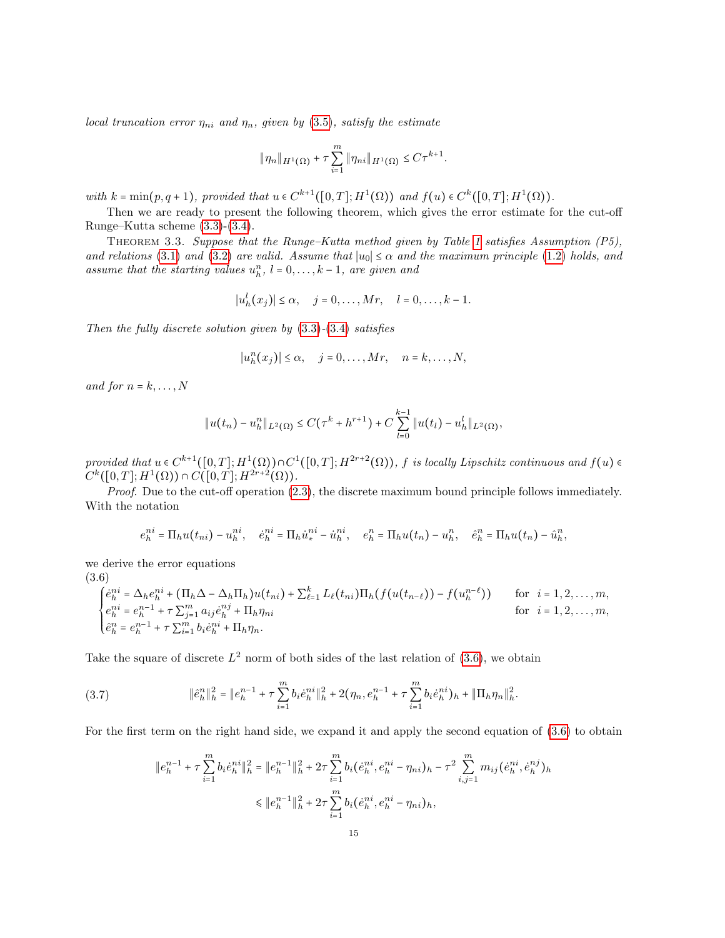local truncation error  $\eta_{ni}$  and  $\eta_n$ , given by [\(3.5\)](#page-13-5), satisfy the estimate

$$
\|\eta_n\|_{H^1(\Omega)} + \tau \sum_{i=1}^m \|\eta_{ni}\|_{H^1(\Omega)} \leq C\tau^{k+1}.
$$

with  $k = \min(p, q + 1)$ , provided that  $u \in C^{k+1}([0, T]; H^1(\Omega))$  and  $f(u) \in C^k([0, T]; H^1(\Omega))$ .

Then we are ready to present the following theorem, which gives the error estimate for the cut-off Runge–Kutta scheme [\(3.3\)](#page-13-1)-[\(3.4\)](#page-13-4).

<span id="page-14-2"></span>THEOREM 3.3. Suppose that the Runge–Kutta method given by Table [1](#page-13-0) satisfies Assumption  $(P5)$ , and relations [\(3.1\)](#page-13-2) and [\(3.2\)](#page-13-3) are valid. Assume that  $|u_0| \leq \alpha$  and the maximum principle [\(1.2\)](#page-0-2) holds, and assume that the starting values  $u_h^n$ ,  $l = 0, \ldots, k-1$ , are given and

$$
|u_h^l(x_j)| \leq \alpha, \quad j = 0, \dots, Mr, \quad l = 0, \dots, k-1.
$$

Then the fully discrete solution given by  $(3.3)-(3.4)$  $(3.3)-(3.4)$  $(3.3)-(3.4)$  satisfies

$$
|u_h^n(x_j)| \leq \alpha, \quad j = 0, \dots, Mr, \quad n = k, \dots, N,
$$

and for  $n = k, \ldots, N$ 

$$
||u(t_n)-u_h^n||_{L^2(\Omega)} \leq C(\tau^k+h^{r+1})+C\sum_{l=0}^{k-1}||u(t_l)-u_h^l||_{L^2(\Omega)},
$$

provided that  $u \in C^{k+1}([0,T];H^1(\Omega)) \cap C^1([0,T];H^{2r+2}(\Omega))$ , f is locally Lipschitz continuous and  $f(u) \in C^k([0,T],H^{1}(\Omega)) \cap C^1([0,T],H^{2r+2}(\Omega))$  $C^k([0,T];H^1(\Omega)) \cap C([0,T];H^{2r+2}(\Omega)).$ 

Proof. Due to the cut-off operation [\(2.3\)](#page-3-2), the discrete maximum bound principle follows immediately. With the notation

$$
e_h^{ni} = \Pi_h u(t_{ni}) - u_h^{ni}, \quad \dot{e}_h^{ni} = \Pi_h \dot{u}_*^{ni} - \dot{u}_h^{ni}, \quad e_h^n = \Pi_h u(t_n) - u_h^n, \quad \dot{e}_h^n = \Pi_h u(t_n) - \dot{u}_h^n,
$$

we derive the error equations (3.6)

<span id="page-14-0"></span>
$$
\begin{cases}\n\dot{e}_h^{ni} = \Delta_h e_h^{ni} + (\Pi_h \Delta - \Delta_h \Pi_h) u(t_{ni}) + \sum_{\ell=1}^k L_\ell(t_{ni}) \Pi_h(f(u(t_{n-\ell})) - f(u_h^{n-\ell})) & \text{for } i = 1, 2, ..., m, \\
e_h^{ni} = e_h^{n-1} + \tau \sum_{j=1}^m a_{ij} \dot{e}_h^{nj} + \Pi_h \eta_{ni} & \text{for } i = 1, 2, ..., m, \\
\hat{e}_h^n = e_h^{n-1} + \tau \sum_{i=1}^m b_i \dot{e}_h^{ni} + \Pi_h \eta_n.\n\end{cases}
$$

Take the square of discrete  $L^2$  norm of both sides of the last relation of [\(3.6\)](#page-14-0), we obtain

<span id="page-14-1"></span>
$$
(3.7) \t\t\t\t\|\hat{e}_h^n\|_h^2 = \|e_h^{n-1} + \tau \sum_{i=1}^m b_i \dot{e}_h^{ni}\|_h^2 + 2(\eta_n, e_h^{n-1} + \tau \sum_{i=1}^m b_i \dot{e}_h^{ni})_h + \|\Pi_h \eta_n\|_h^2.
$$

For the first term on the right hand side, we expand it and apply the second equation of [\(3.6\)](#page-14-0) to obtain

$$
||e_h^{n-1} + \tau \sum_{i=1}^m b_i \dot{e}_h^{ni}||_h^2 = ||e_h^{n-1}||_h^2 + 2\tau \sum_{i=1}^m b_i (\dot{e}_h^{ni}, e_h^{ni} - \eta_{ni})_h - \tau^2 \sum_{i,j=1}^m m_{ij} (\dot{e}_h^{ni}, \dot{e}_h^{nj})_h
$$
  
\$\leq ||e\_h^{n-1}||\_h^2 + 2\tau \sum\_{i=1}^m b\_i (\dot{e}\_h^{ni}, e\_h^{ni} - \eta\_{ni})\_h\$,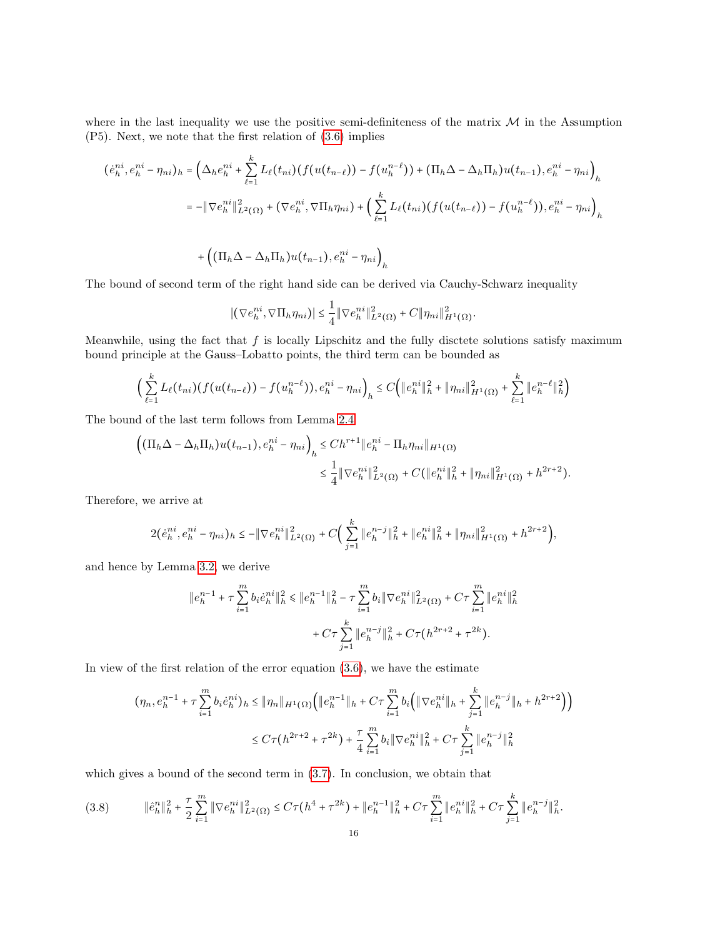where in the last inequality we use the positive semi-definiteness of the matrix  $M$  in the Assumption (P5). Next, we note that the first relation of [\(3.6\)](#page-14-0) implies

$$
(\dot{e}_h^{ni}, e_h^{ni} - \eta_{ni})_h = \left(\Delta_h e_h^{ni} + \sum_{\ell=1}^k L_\ell(t_{ni}) (f(u(t_{n-\ell})) - f(u_h^{n-\ell})) + (\Pi_h \Delta - \Delta_h \Pi_h) u(t_{n-1}), e_h^{ni} - \eta_{ni}\right)_h
$$
  

$$
= -\|\nabla e_h^{ni}\|_{L^2(\Omega)}^2 + (\nabla e_h^{ni}, \nabla \Pi_h \eta_{ni}) + \left(\sum_{\ell=1}^k L_\ell(t_{ni}) (f(u(t_{n-\ell})) - f(u_h^{n-\ell})), e_h^{ni} - \eta_{ni}\right)_h
$$

$$
+\left((\Pi_h\Delta-\Delta_h\Pi_h)u(t_{n-1}),e_h^{ni}-\eta_{ni}\right)_h
$$

The bound of second term of the right hand side can be derived via Cauchy-Schwarz inequality

$$
|(\nabla e_h^{ni}, \nabla \Pi_h \eta_{ni})| \leq \frac{1}{4} ||\nabla e_h^{ni}||^2_{L^2(\Omega)} + C ||\eta_{ni}||^2_{H^1(\Omega)}.
$$

Meanwhile, using the fact that  $f$  is locally Lipschitz and the fully disctete solutions satisfy maximum bound principle at the Gauss–Lobatto points, the third term can be bounded as

$$
\Big(\sum_{\ell=1}^k L_{\ell}(t_{ni})(f(u(t_{n-\ell})) - f(u_h^{n-\ell})), e_h^{ni} - \eta_{ni}\Big)_h \leq C\Big(\|e_h^{ni}\|_h^2 + \|\eta_{ni}\|_{H^1(\Omega)}^2 + \sum_{\ell=1}^k \|e_h^{n-\ell}\|_h^2\Big)
$$

The bound of the last term follows from Lemma [2.4](#page-8-1)

$$
\begin{aligned} \left( (\Pi_h \Delta - \Delta_h \Pi_h) u(t_{n-1}), e_h^{ni} - \eta_{ni} \right)_h &\leq Ch^{r+1} \| e_h^{ni} - \Pi_h \eta_{ni} \|_{H^1(\Omega)} \\ &\leq \frac{1}{4} \| \nabla e_h^{ni} \|_{L^2(\Omega)}^2 + C ( \| e_h^{ni} \|_h^2 + \| \eta_{ni} \|_{H^1(\Omega)}^2 + h^{2r+2}). \end{aligned}
$$

Therefore, we arrive at

$$
2(\dot{e}_h^{ni}, e_h^{ni} - \eta_{ni})_h \le -\|\nabla e_h^{ni}\|_{L^2(\Omega)}^2 + C\Big(\sum_{j=1}^k \|e_h^{n-j}\|_h^2 + \|e_h^{ni}\|_h^2 + \|\eta_{ni}\|_{H^1(\Omega)}^2 + h^{2r+2}\Big),
$$

and hence by Lemma [3.2,](#page-13-6) we derive

$$
\|e_h^{n-1} + \tau \sum_{i=1}^m b_i \dot{e}_h^{ni} \|^2_h \le \|e_h^{n-1}\|^2_h - \tau \sum_{i=1}^m b_i \|\nabla e_h^{ni}\|^2_{L^2(\Omega)} + C\tau \sum_{i=1}^m \|e_h^{ni}\|^2_h + C\tau \sum_{j=1}^k \|e_h^{n-j}\|^2_h + C\tau (h^{2r+2} + \tau^{2k}).
$$

In view of the first relation of the error equation  $(3.6)$ , we have the estimate

$$
(\eta_n, e_h^{n-1} + \tau \sum_{i=1}^m b_i e_h^{ni})_h \leq \|\eta_n\|_{H^1(\Omega)} \Big( \|e_h^{n-1}\|_h + C\tau \sum_{i=1}^m b_i \Big( \|\nabla e_h^{ni}\|_h + \sum_{j=1}^k \|e_h^{n-j}\|_h + h^{2r+2} \Big) \Big)
$$
  

$$
\leq C\tau (h^{2r+2} + \tau^{2k}) + \frac{\tau}{4} \sum_{i=1}^m b_i \|\nabla e_h^{ni}\|_h^2 + C\tau \sum_{j=1}^k \|e_h^{n-j}\|_h^2
$$

which gives a bound of the second term in  $(3.7)$ . In conclusion, we obtain that

<span id="page-15-0"></span>
$$
(3.8) \t\t\t\t\|\hat{e}_{h}^{n}\|_{h}^{2} + \frac{\tau}{2} \sum_{i=1}^{m} \|\nabla e_{h}^{ni}\|_{L^{2}(\Omega)}^{2} \le C\tau (h^{4} + \tau^{2k}) + \|e_{h}^{n-1}\|_{h}^{2} + C\tau \sum_{i=1}^{m} \|e_{h}^{ni}\|_{h}^{2} + C\tau \sum_{j=1}^{k} \|e_{h}^{n-j}\|_{h}^{2}.
$$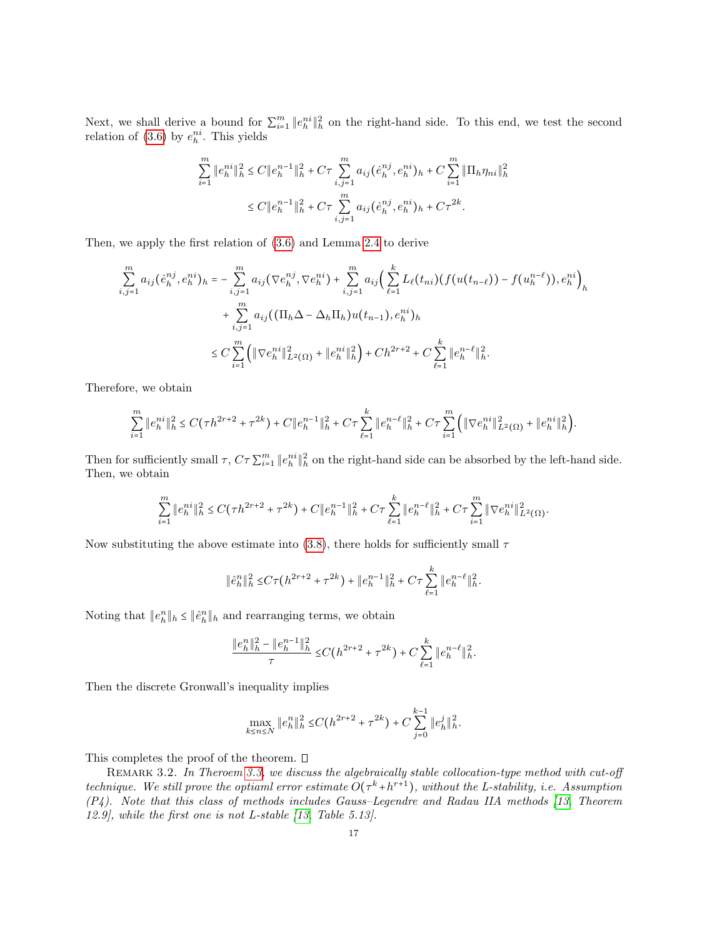Next, we shall derive a bound for  $\sum_{i=1}^{m} ||e_{h}^{ni}||_{h}^{2}$  on the right-hand side. To this end, we test the second relation of  $(3.6)$  by  $e_h^{ni}$ . This yields

$$
\sum_{i=1}^{m} \|e_h^{ni}\|_h^2 \le C \|e_h^{n-1}\|_h^2 + C\tau \sum_{i,j=1}^{m} a_{ij} (e_h^{nj}, e_h^{ni})_h + C \sum_{i=1}^{m} \|\Pi_h \eta_{ni}\|_h^2
$$
  

$$
\le C \|e_h^{n-1}\|_h^2 + C\tau \sum_{i,j=1}^{m} a_{ij} (e_h^{nj}, e_h^{ni})_h + C\tau^{2k}.
$$

Then, we apply the first relation of [\(3.6\)](#page-14-0) and Lemma [2.4](#page-8-1) to derive

$$
\sum_{i,j=1}^{m} a_{ij} (e_{h}^{nj}, e_{h}^{ni})_{h} = - \sum_{i,j=1}^{m} a_{ij} (\nabla e_{h}^{nj}, \nabla e_{h}^{ni}) + \sum_{i,j=1}^{m} a_{ij} (\sum_{\ell=1}^{k} L_{\ell}(t_{ni}) (f(u(t_{n-\ell})) - f(u_{h}^{n-\ell})), e_{h}^{ni})_{h}
$$
  
+ 
$$
\sum_{i,j=1}^{m} a_{ij} ((\Pi_{h} \Delta - \Delta_{h} \Pi_{h}) u(t_{n-1}), e_{h}^{ni})_{h}
$$
  

$$
\leq C \sum_{i=1}^{m} (\|\nabla e_{h}^{ni}\|_{L^{2}(\Omega)}^{2} + \|e_{h}^{ni}\|_{h}^{2}) + C h^{2r+2} + C \sum_{\ell=1}^{k} \|e_{h}^{n-\ell}\|_{h}^{2}.
$$

Therefore, we obtain

$$
\sum_{i=1}^m \|e_h^{ni}\|_h^2 \le C(\tau h^{2r+2} + \tau^{2k}) + C\|e_h^{n-1}\|_h^2 + C\tau \sum_{\ell=1}^k \|e_h^{n-\ell}\|_h^2 + C\tau \sum_{i=1}^m \Big(\|\nabla e_h^{ni}\|_{L^2(\Omega)}^2 + \|e_h^{ni}\|_h^2\Big).
$$

Then for sufficiently small  $\tau$ ,  $C\tau\sum_{i=1}^{m}||e_{h}^{ni}||_{h}^{2}$  on the right-hand side can be absorbed by the left-hand side. Then, we obtain

$$
\sum_{i=1}^m \|e_h^{ni}\|_h^2 \le C(\tau h^{2\tau+2} + \tau^{2k}) + C \|e_h^{n-1}\|_h^2 + C\tau \sum_{\ell=1}^k \|e_h^{n-\ell}\|_h^2 + C\tau \sum_{i=1}^m \|\nabla e_h^{ni}\|_{L^2(\Omega)}^2.
$$

Now substituting the above estimate into [\(3.8\)](#page-15-0), there holds for sufficiently small  $\tau$ 

$$
\|\hat{e}_h^n\|_h^2 \le C\tau(h^{2r+2} + \tau^{2k}) + \|e_h^{n-1}\|_h^2 + C\tau \sum_{\ell=1}^k \|e_h^{n-\ell}\|_h^2.
$$

Noting that  $||e_h^n||_h \le ||\hat{e}_h^n||_h$  and rearranging terms, we obtain

$$
\frac{\|e^n_h\|^2_h-\|e^{n-1}_h\|^2_h}{\tau}\leq C\big(h^{2r+2}+\tau^{2k}\big)+C\sum\limits_{\ell=1}^k\|e^{n-\ell}_h\|^2_h.
$$

Then the discrete Gronwall's inequality implies

$$
\max_{k \le n \le N} \|e_h^n\|_h^2 \le C\left(h^{2r+2} + \tau^{2k}\right) + C \sum_{j=0}^{k-1} \|e_h^j\|_h^2.
$$

This completes the proof of the theorem.  $\square$ 

REMARK 3.2. In Theroem [3.3,](#page-14-2) we discuss the algebraically stable collocation-type method with cut-off technique. We still prove the optiaml error estimate  $O(\tau^k + h^{r+1})$ , without the L-stability, i.e. Assumption (P4). Note that this class of methods includes Gauss–Legendre and Radau IIA methods [\[13,](#page-27-16) Theorem 12.9], while the first one is not L-stable [\[13,](#page-27-16) Table 5.13].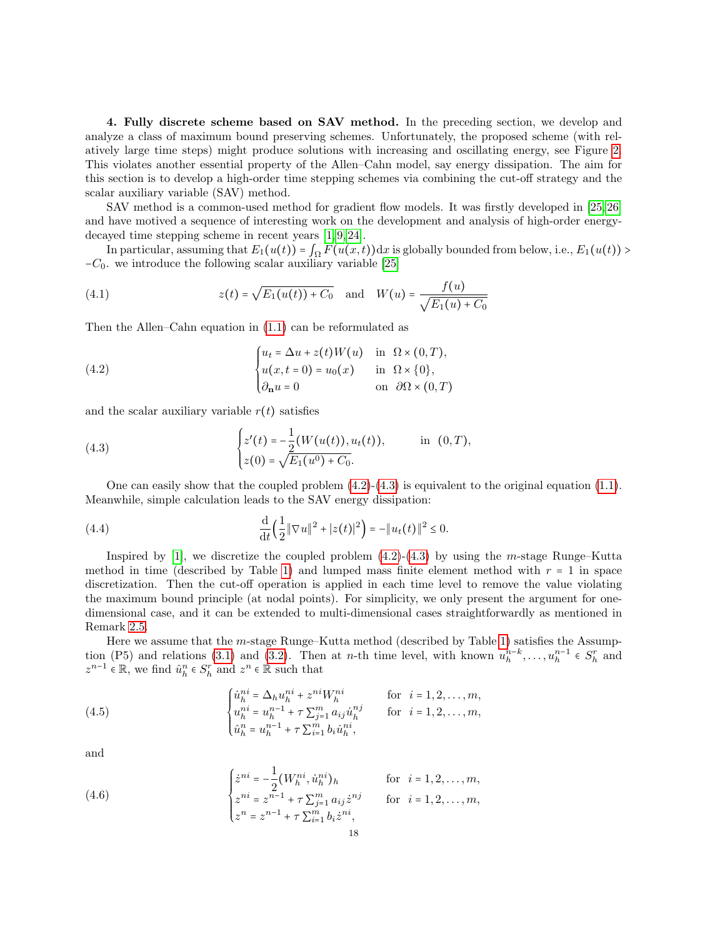<span id="page-17-0"></span>4. Fully discrete scheme based on SAV method. In the preceding section, we develop and analyze a class of maximum bound preserving schemes. Unfortunately, the proposed scheme (with relatively large time steps) might produce solutions with increasing and oscillating energy, see Figure [2.](#page-26-0) This violates another essential property of the Allen–Cahn model, say energy dissipation. The aim for this section is to develop a high-order time stepping schemes via combining the cut-off strategy and the scalar auxiliary variable (SAV) method.

SAV method is a common-used method for gradient flow models. It was firstly developed in [\[25,](#page-28-10) [26\]](#page-28-7) and have motived a sequence of interesting work on the development and analysis of high-order energydecayed time stepping scheme in recent years [\[1,](#page-27-17) [9,](#page-27-18) [24\]](#page-28-11).

In particular, assuming that  $E_1(u(t)) = \int_{\Omega} F(u(x,t)) dx$  is globally bounded from below, i.e.,  $E_1(u(t))$  $-C_0$ . we introduce the following scalar auxiliary variable [\[25\]](#page-28-10)

(4.1) 
$$
z(t) = \sqrt{E_1(u(t)) + C_0} \text{ and } W(u) = \frac{f(u)}{\sqrt{E_1(u) + C_0}}
$$

Then the Allen–Cahn equation in [\(1.1\)](#page-0-0) can be reformulated as

<span id="page-17-1"></span>(4.2) 
$$
\begin{cases} u_t = \Delta u + z(t)W(u) & \text{in } \Omega \times (0,T), \\ u(x,t=0) = u_0(x) & \text{in } \Omega \times \{0\}, \\ \partial_{\mathbf{n}} u = 0 & \text{on } \partial\Omega \times (0,T) \end{cases}
$$

and the scalar auxiliary variable  $r(t)$  satisfies

<span id="page-17-2"></span>(4.3) 
$$
\begin{cases} z'(t) = -\frac{1}{2}(W(u(t)), u_t(t)), & \text{in } (0, T), \\ z(0) = \sqrt{E_1(u^0) + C_0}. \end{cases}
$$

One can easily show that the coupled problem  $(4.2)-(4.3)$  $(4.2)-(4.3)$  $(4.2)-(4.3)$  is equivalent to the original equation  $(1.1)$ . Meanwhile, simple calculation leads to the SAV energy dissipation:

(4.4) 
$$
\frac{\mathrm{d}}{\mathrm{d}t} \Big( \frac{1}{2} \|\nabla u\|^2 + |z(t)|^2 \Big) = -\|u_t(t)\|^2 \leq 0.
$$

Inspired by [\[1\]](#page-27-17), we discretize the coupled problem  $(4.2)-(4.3)$  $(4.2)-(4.3)$  $(4.2)-(4.3)$  by using the *m*-stage Runge–Kutta method in time (described by Table [1\)](#page-13-0) and lumped mass finite element method with  $r = 1$  in space discretization. Then the cut-off operation is applied in each time level to remove the value violating the maximum bound principle (at nodal points). For simplicity, we only present the argument for onedimensional case, and it can be extended to multi-dimensional cases straightforwardly as mentioned in Remark [2.5.](#page-12-2)

Here we assume that the m-stage Runge–Kutta method (described by Table [1\)](#page-13-0) satisfies the Assump-tion (P5) and relations [\(3.1\)](#page-13-2) and [\(3.2\)](#page-13-3). Then at *n*-th time level, with known  $u_h^{n-k}, \ldots, u_h^{n-1} \in S_h^r$  and  $u_h^{n-1} \in S_h^r$  and  $u_h^{n-1} \in S_h^r$  and  $z^{n-1} \in \mathbb{R}$ , we find  $\hat{u}_h^n \in S_h^n$  and  $z^n \in \mathbb{R}$  such that

<span id="page-17-3"></span>(4.5) 
$$
\begin{cases} \dot{u}_{h}^{ni} = \Delta_{h} u_{h}^{ni} + z^{ni} W_{h}^{ni} & \text{for } i = 1, 2, ..., m, \\ u_{h}^{ni} = u_{h}^{n-1} + \tau \sum_{j=1}^{m} a_{ij} \dot{u}_{h}^{nj} & \text{for } i = 1, 2, ..., m, \\ \hat{u}_{h}^{n} = u_{h}^{n-1} + \tau \sum_{i=1}^{m} b_{i} \dot{u}_{h}^{ni}, \end{cases}
$$

and

<span id="page-17-4"></span>(4.6) 
$$
\begin{cases} \dot{z}^{ni} = -\frac{1}{2} (W_h^{ni}, \dot{u}_h^{ni})_h & \text{for } i = 1, 2, ..., m, \\ z^{ni} = z^{n-1} + \tau \sum_{j=1}^m a_{ij} \dot{z}^{nj} & \text{for } i = 1, 2, ..., m, \\ z^n = z^{n-1} + \tau \sum_{i=1}^m b_i \dot{z}^{ni}, \end{cases}
$$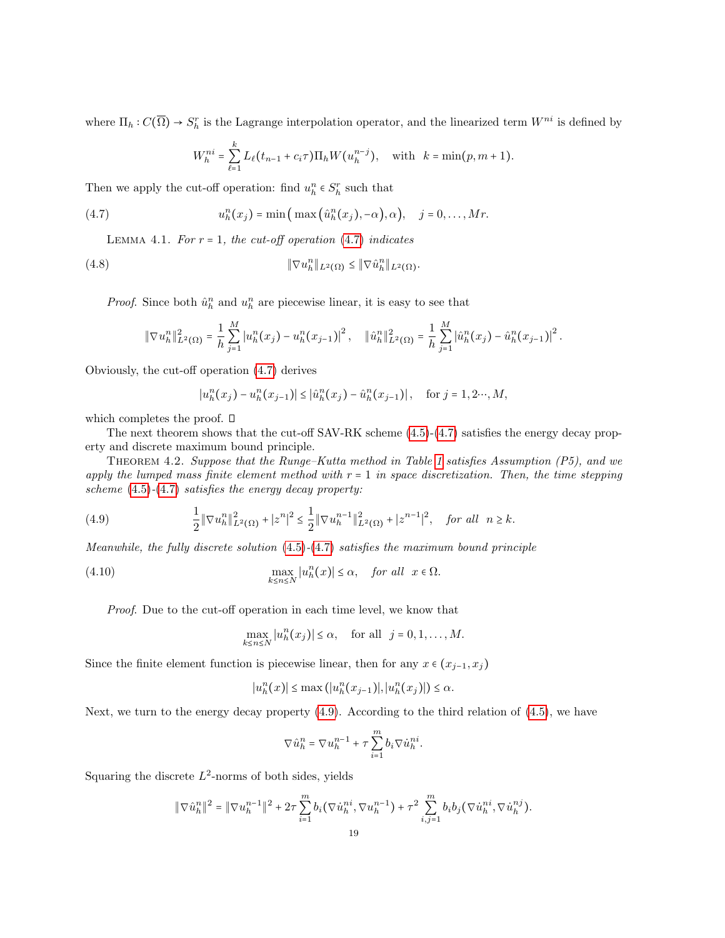where  $\Pi_h : C(\overline{\Omega}) \to S_h^r$  is the Lagrange interpolation operator, and the linearized term  $W^{ni}$  is defined by

$$
W_h^{ni} = \sum_{\ell=1}^k L_\ell(t_{n-1} + c_i \tau) \Pi_h W(u_h^{n-j}), \text{ with } k = \min(p, m+1).
$$

Then we apply the cut-off operation: find  $u_h^n \in S_h^r$  such that

<span id="page-18-0"></span>(4.7) 
$$
u_h^n(x_j) = \min\left(\max\left(\hat{u}_h^n(x_j), -\alpha\right), \alpha\right), \quad j = 0, \ldots, Mr.
$$

<span id="page-18-3"></span>LEMMA 4.1. For  $r = 1$ , the cut-off operation [\(4.7\)](#page-18-0) indicates

<span id="page-18-2"></span>(4.8) 
$$
\|\nabla u_h^n\|_{L^2(\Omega)} \le \|\nabla \hat u_h^n\|_{L^2(\Omega)}.
$$

*Proof.* Since both  $\hat{u}_h^n$  and  $u_h^n$  are piecewise linear, it is easy to see that

$$
\|\nabla u_h^n\|_{L^2(\Omega)}^2=\frac{1}{h}\sum_{j=1}^M\left|u_h^n(x_j)-u_h^n(x_{j-1})\right|^2,\quad \|\hat u_h^n\|_{L^2(\Omega)}^2=\frac{1}{h}\sum_{j=1}^M\left|\hat u_h^n(x_j)-\hat u_h^n(x_{j-1})\right|^2.
$$

Obviously, the cut-off operation [\(4.7\)](#page-18-0) derives

<span id="page-18-4"></span>
$$
|u_h^n(x_j) - u_h^n(x_{j-1})| \leq |\hat{u}_h^n(x_j) - \hat{u}_h^n(x_{j-1})|
$$
, for  $j = 1, 2, \dots, M$ ,

which completes the proof.  $\square$ 

The next theorem shows that the cut-off SAV-RK scheme [\(4.5\)](#page-17-3)-[\(4.7\)](#page-18-0) satisfies the energy decay property and discrete maximum bound principle.

THEOREM 4.2. Suppose that the Runge–Kutta method in Table [1](#page-13-0) satisfies Assumption  $(P5)$ , and we apply the lumped mass finite element method with  $r = 1$  in space discretization. Then, the time stepping scheme  $(4.5)-(4.7)$  $(4.5)-(4.7)$  $(4.5)-(4.7)$  satisfies the energy decay property:

<span id="page-18-1"></span>(4.9) 
$$
\frac{1}{2} \|\nabla u_h^n\|_{L^2(\Omega)}^2 + |z^n|^2 \leq \frac{1}{2} \|\nabla u_h^{n-1}\|_{L^2(\Omega)}^2 + |z^{n-1}|^2, \text{ for all } n \geq k.
$$

Meanwhile, the fully discrete solution  $(4.5)-(4.7)$  $(4.5)-(4.7)$  $(4.5)-(4.7)$  satisfies the maximum bound principle

(4.10) 
$$
\max_{k \leq n \leq N} |u_h^n(x)| \leq \alpha, \quad \text{for all} \ \ x \in \Omega.
$$

Proof. Due to the cut-off operation in each time level, we know that

$$
\max_{k \le n \le N} |u_h^n(x_j)| \le \alpha, \quad \text{for all} \ \ j = 0, 1, \dots, M.
$$

Since the finite element function is piecewise linear, then for any  $x \in (x_{j-1}, x_j)$ 

$$
|u_h^n(x)| \le \max\left(|u_h^n(x_{j-1})|, |u_h^n(x_j)|\right) \le \alpha.
$$

Next, we turn to the energy decay property [\(4.9\)](#page-18-1). According to the third relation of [\(4.5\)](#page-17-3), we have

$$
\nabla \hat{u}_h^n = \nabla u_h^{n-1} + \tau \sum_{i=1}^m b_i \nabla \dot{u}_h^{ni}.
$$

Squaring the discrete  $L^2$ -norms of both sides, yields

$$
\|\nabla \hat{u}_h^n\|^2 = \|\nabla u_h^{n-1}\|^2 + 2\tau \sum_{i=1}^m b_i (\nabla \dot{u}_h^{ni}, \nabla u_h^{n-1}) + \tau^2 \sum_{i,j=1}^m b_i b_j (\nabla \dot{u}_h^{ni}, \nabla \dot{u}_h^{nj}).
$$
  
19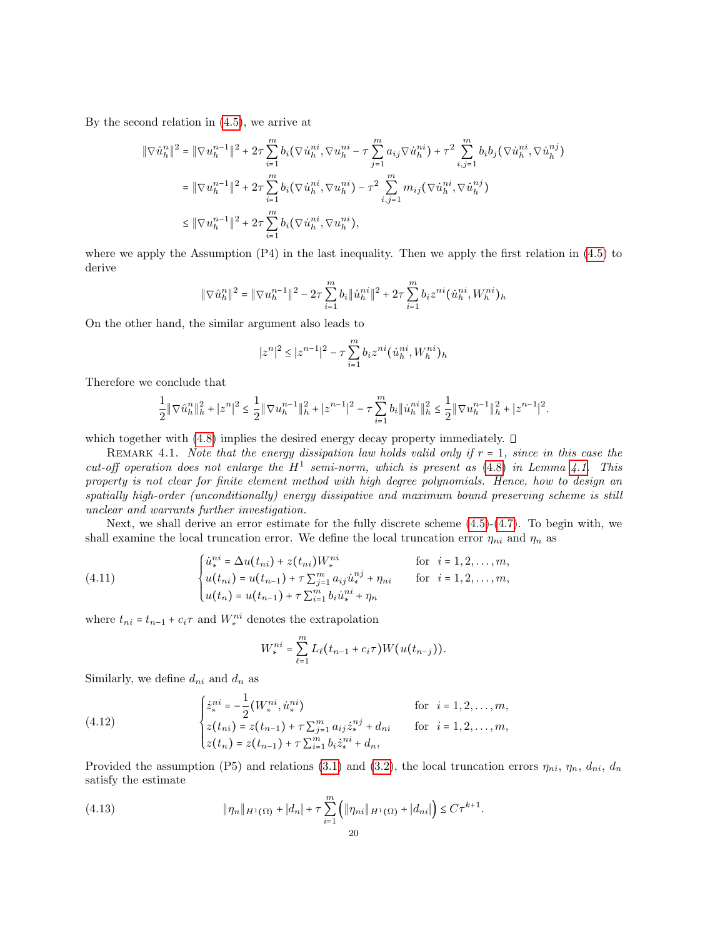By the second relation in [\(4.5\)](#page-17-3), we arrive at

$$
\begin{split} \|\nabla \hat{u}_{h}^{n}\|^{2} &= \|\nabla u_{h}^{n-1}\|^{2} + 2\tau \sum_{i=1}^{m} b_{i} \left(\nabla \dot{u}_{h}^{ni}, \nabla u_{h}^{ni} - \tau \sum_{j=1}^{m} a_{ij} \nabla \dot{u}_{h}^{ni}\right) + \tau^{2} \sum_{i,j=1}^{m} b_{i} b_{j} \left(\nabla \dot{u}_{h}^{ni}, \nabla \dot{u}_{h}^{nj}\right) \\ &= \|\nabla u_{h}^{n-1}\|^{2} + 2\tau \sum_{i=1}^{m} b_{i} \left(\nabla \dot{u}_{h}^{ni}, \nabla u_{h}^{ni}\right) - \tau^{2} \sum_{i,j=1}^{m} m_{ij} \left(\nabla \dot{u}_{h}^{ni}, \nabla \dot{u}_{h}^{nj}\right) \\ &\leq \|\nabla u_{h}^{n-1}\|^{2} + 2\tau \sum_{i=1}^{m} b_{i} \left(\nabla \dot{u}_{h}^{ni}, \nabla u_{h}^{ni}\right), \end{split}
$$

where we apply the Assumption (P4) in the last inequality. Then we apply the first relation in [\(4.5\)](#page-17-3) to derive

$$
\|\nabla \hat{u}_h^n\|^2 = \|\nabla u_h^{n-1}\|^2 - 2\tau \sum_{i=1}^m b_i \|\hat{u}_h^{ni}\|^2 + 2\tau \sum_{i=1}^m b_i z^{ni} (\hat{u}_h^{ni}, W_h^{ni})_h
$$

On the other hand, the similar argument also leads to

$$
|z^n|^2 \leq |z^{n-1}|^2 - \tau \sum_{i=1}^m b_i z^{ni} ( \dot u^{ni}_h, W^{ni}_h )_h
$$

Therefore we conclude that

$$
\frac{1}{2}\|\nabla \hat{u}^n_h\|^2_h+|z^n|^2\leq \frac{1}{2}\|\nabla u^{n-1}_h\|^2_h+|z^{n-1}|^2-\tau\sum_{i=1}^m b_i\|\dot{u}^{ni}_h\|^2_h\leq \frac{1}{2}\|\nabla u^{n-1}_h\|^2_h+|z^{n-1}|^2.
$$

which together with  $(4.8)$  implies the desired energy decay property immediately.  $\Box$ 

REMARK 4.1. Note that the energy dissipation law holds valid only if  $r = 1$ , since in this case the cut-off operation does not enlarge the  $H^1$  semi-norm, which is present as [\(4.8\)](#page-18-2) in Lemma [4.1.](#page-18-3) This property is not clear for finite element method with high degree polynomials. Hence, how to design an spatially high-order (unconditionally) energy dissipative and maximum bound preserving scheme is still unclear and warrants further investigation.

Next, we shall derive an error estimate for the fully discrete scheme [\(4.5\)](#page-17-3)-[\(4.7\)](#page-18-0). To begin with, we shall examine the local truncation error. We define the local truncation error  $\eta_{ni}$  and  $\eta_n$  as

(4.11) 
$$
\begin{cases} \dot{u}_*^{ni} = \Delta u(t_{ni}) + z(t_{ni})W_*^{ni} & \text{for } i = 1, 2, ..., m, \\ u(t_{ni}) = u(t_{n-1}) + \tau \sum_{j=1}^m a_{ij} \dot{u}_*^{nj} + \eta_{ni} & \text{for } i = 1, 2, ..., m, \\ u(t_n) = u(t_{n-1}) + \tau \sum_{i=1}^m b_i \dot{u}_*^{ni} + \eta_n \end{cases}
$$

where  $t_{ni} = t_{n-1} + c_i \tau$  and  $W^{ni}_*$  denotes the extrapolation

<span id="page-19-1"></span><span id="page-19-0"></span>
$$
W_*^{ni} = \sum_{\ell=1}^m L_{\ell}(t_{n-1} + c_i \tau) W(u(t_{n-j})).
$$

Similarly, we define  $d_{ni}$  and  $d_n$  as

(4.12) 
$$
\begin{cases} \dot{z}_*^{ni} = -\frac{1}{2} (W_*^{ni}, \dot{u}_*^{ni}) & \text{for } i = 1, 2, ..., m, \\ z(t_{ni}) = z(t_{n-1}) + \tau \sum_{j=1}^m a_{ij} \dot{z}_*^{nj} + d_{ni} & \text{for } i = 1, 2, ..., m, \\ z(t_n) = z(t_{n-1}) + \tau \sum_{i=1}^m b_i \dot{z}_*^{ni} + d_n, \end{cases}
$$

Provided the assumption (P5) and relations [\(3.1\)](#page-13-2) and [\(3.2\)](#page-13-3), the local truncation errors  $\eta_{ni}$ ,  $\eta_n$ ,  $d_{ni}$ ,  $d_n$ satisfy the estimate

<span id="page-19-2"></span>(4.13) 
$$
\|\eta_n\|_{H^1(\Omega)} + |d_n| + \tau \sum_{i=1}^m \left( \|\eta_{ni}\|_{H^1(\Omega)} + |d_{ni}| \right) \leq C\tau^{k+1}.
$$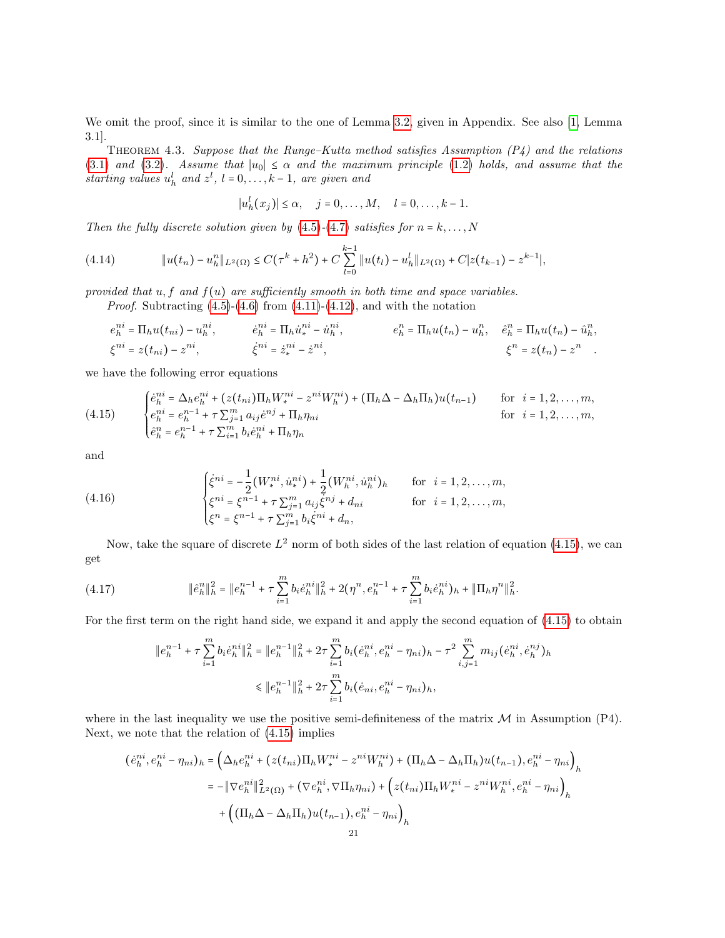We omit the proof, since it is similar to the one of Lemma [3.2,](#page-13-6) given in Appendix. See also [\[1,](#page-27-17) Lemma 3.1].

<span id="page-20-3"></span>THEOREM 4.3. Suppose that the Runge–Kutta method satisfies Assumption  $(P_4)$  and the relations [\(3.1\)](#page-13-2) and [\(3.2\)](#page-13-3). Assume that  $|u_0| \le \alpha$  and the maximum principle [\(1.2\)](#page-0-2) holds, and assume that the starting values  $u_h^l$  and  $z^l$ ,  $l = 0, \ldots, k - 1$ , are given and

$$
|u_h^l(x_j)| \leq \alpha, \quad j = 0, \ldots, M, \quad l = 0, \ldots, k-1.
$$

Then the fully discrete solution given by  $(4.5)-(4.7)$  $(4.5)-(4.7)$  $(4.5)-(4.7)$  satisfies for  $n = k, \ldots, N$ 

$$
(4.14) \t\t\t \|u(t_n) - u_h^n\|_{L^2(\Omega)} \leq C(\tau^k + h^2) + C \sum_{l=0}^{k-1} \|u(t_l) - u_h^l\|_{L^2(\Omega)} + C|z(t_{k-1}) - z^{k-1}|,
$$

provided that  $u, f$  and  $f(u)$  are sufficiently smooth in both time and space variables.

*Proof.* Subtracting  $(4.5)-(4.6)$  $(4.5)-(4.6)$  $(4.5)-(4.6)$  from  $(4.11)-(4.12)$  $(4.11)-(4.12)$  $(4.11)-(4.12)$ , and with the notation

$$
e_h^{ni} = \Pi_h u(t_{ni}) - u_h^{ni}, \qquad \dot{e}_h^{ni} = \Pi_h \dot{u}_*^{ni} - \dot{u}_h^{ni}, \qquad e_h^n = \Pi_h u(t_n) - u_h^n, \quad \dot{e}_h^n = \Pi_h u(t_n) - \hat{u}_h^n, \n\xi^{ni} = z(t_{ni}) - z^{ni}, \qquad \dot{\xi}^{ni} = \dot{z}_*^{ni} - \dot{z}^{ni}, \qquad \xi^n = z(t_n) - z^n.
$$

we have the following error equations

<span id="page-20-0"></span>(4.15) 
$$
\begin{cases} \dot{e}_h^{ni} = \Delta_h e_h^{ni} + (z(t_{ni}) \Pi_h W_i^{ni} - z^{ni} W_h^{ni}) + (\Pi_h \Delta - \Delta_h \Pi_h) u(t_{n-1}) & \text{for } i = 1, 2, ..., m, \\ e_h^{ni} = e_h^{n-1} + \tau \sum_{j=1}^m a_{ij} \dot{e}^{nj} + \Pi_h \eta_{ni} & \text{for } i = 1, 2, ..., m, \\ \hat{e}_h^n = e_h^{n-1} + \tau \sum_{i=1}^m b_i \dot{e}_h^{ni} + \Pi_h \eta_n & \end{cases}
$$

and

<span id="page-20-2"></span>(4.16) 
$$
\begin{cases} \dot{\xi}^{ni} = -\frac{1}{2} (W_i^{ni}, \dot{u}_i^{ni}) + \frac{1}{2} (W_h^{ni}, \dot{u}_h^{ni})_h & \text{for } i = 1, 2, ..., m, \\ \xi^{ni} = \xi^{n-1} + \tau \sum_{j=1}^m a_{ij} \dot{\xi}^{nj} + d_{ni} & \text{for } i = 1, 2, ..., m, \\ \xi^n = \xi^{n-1} + \tau \sum_{j=1}^m b_i \dot{\xi}^{ni} + d_n, \end{cases}
$$

Now, take the square of discrete  $L^2$  norm of both sides of the last relation of equation [\(4.15\)](#page-20-0), we can get

<span id="page-20-1"></span>
$$
(4.17) \t\t\t\t\t\|\hat{e}_h^n\|_h^2 = \|e_h^{n-1} + \tau \sum_{i=1}^m b_i \hat{e}_h^{ni}\|_h^2 + 2(\eta^n, e_h^{n-1} + \tau \sum_{i=1}^m b_i \hat{e}_h^{ni})_h + \|\Pi_h \eta^n\|_h^2.
$$

For the first term on the right hand side, we expand it and apply the second equation of [\(4.15\)](#page-20-0) to obtain

$$
\begin{aligned} \|e_h^{n-1} + \tau \sum_{i=1}^m b_i \dot{e}_h^{ni} \|_h^2 &= \|e_h^{n-1}\|_h^2 + 2\tau \sum_{i=1}^m b_i (\dot{e}_h^{ni}, e_h^{ni} - \eta_{ni})_h - \tau^2 \sum_{i,j=1}^m m_{ij} (\dot{e}_h^{ni}, \dot{e}_h^{nj})_h \\ &\le \|e_h^{n-1}\|_h^2 + 2\tau \sum_{i=1}^m b_i (\dot{e}_{ni}, e_h^{ni} - \eta_{ni})_h, \end{aligned}
$$

where in the last inequality we use the positive semi-definiteness of the matrix  $\mathcal M$  in Assumption (P4). Next, we note that the relation of [\(4.15\)](#page-20-0) implies

$$
(\dot{e}_h^{ni}, e_h^{ni} - \eta_{ni})_h = \left(\Delta_h e_h^{ni} + (z(t_{ni})\Pi_h W_i^{ni} - z^{ni} W_h^{ni}) + (\Pi_h \Delta - \Delta_h \Pi_h) u(t_{n-1}), e_h^{ni} - \eta_{ni}\right)_h
$$
  

$$
= -\|\nabla e_h^{ni}\|_{L^2(\Omega)}^2 + (\nabla e_h^{ni}, \nabla \Pi_h \eta_{ni}) + \left(z(t_{ni})\Pi_h W_i^{ni} - z^{ni} W_h^{ni}, e_h^{ni} - \eta_{ni}\right)_h
$$
  

$$
+ \left((\Pi_h \Delta - \Delta_h \Pi_h) u(t_{n-1}), e_h^{ni} - \eta_{ni}\right)_h
$$
  
21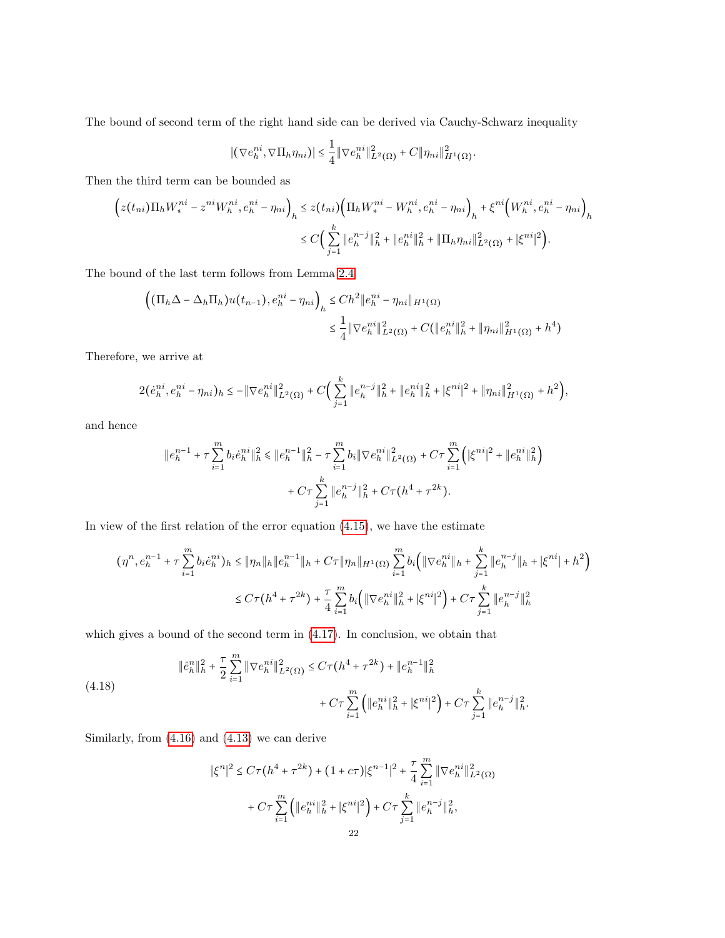The bound of second term of the right hand side can be derived via Cauchy-Schwarz inequality

$$
\left| \left( \nabla e_h^{ni}, \nabla \Pi_h \eta_{ni} \right) \right| \leq \frac{1}{4} \left\| \nabla e_h^{ni} \right\|_{L^2(\Omega)}^2 + C \|\eta_{ni}\|_{H^1(\Omega)}^2.
$$

Then the third term can be bounded as

$$
\left(z(t_{ni})\Pi_h W_i^{ni} - z^{ni} W_h^{ni}, e_h^{ni} - \eta_{ni}\right)_h \le z(t_{ni}) \Big(\Pi_h W_i^{ni} - W_h^{ni}, e_h^{ni} - \eta_{ni}\Big)_h + \xi^{ni} \Big(W_h^{ni}, e_h^{ni} - \eta_{ni}\Big)_h
$$
  

$$
\le C \Big(\sum_{j=1}^k \|e_h^{n-j}\|_h^2 + \|e_h^{ni}\|_h^2 + \|\Pi_h \eta_{ni}\|_{L^2(\Omega)}^2 + |\xi^{ni}|^2\Big).
$$

The bound of the last term follows from Lemma [2.4](#page-8-1)

$$
\left( (\Pi_h \Delta - \Delta_h \Pi_h) u(t_{n-1}), e_h^{ni} - \eta_{ni} \right)_h \le Ch^2 \|e_h^{ni} - \eta_{ni}\|_{H^1(\Omega)}
$$
  

$$
\le \frac{1}{4} \|\nabla e_h^{ni}\|_{L^2(\Omega)}^2 + C(\|e_h^{ni}\|_h^2 + \|\eta_{ni}\|_{H^1(\Omega)}^2 + h^4)
$$

Therefore, we arrive at

$$
2(\dot{e}_h^{ni}, e_h^{ni} - \eta_{ni})_h \le -\|\nabla e_h^{ni}\|_{L^2(\Omega)}^2 + C\Big(\sum_{j=1}^k \|e_h^{n-j}\|_h^2 + \|e_h^{ni}\|_h^2 + |\xi^{ni}|^2 + \|\eta_{ni}\|_{H^1(\Omega)}^2 + h^2\Big),
$$

and hence

$$
\|e_h^{n-1} + \tau \sum_{i=1}^m b_i \dot{e}_h^{ni} \|^2 \leq \|e_h^{n-1}\|^2 + \tau \sum_{i=1}^m b_i \|\nabla e_h^{ni}\|^2_{L^2(\Omega)} + C\tau \sum_{i=1}^m \left( |\xi^{ni}|^2 + \|e_h^{ni}\|^2_h \right) + C\tau \sum_{j=1}^k \|e_h^{n-j}\|^2 + C\tau (h^4 + \tau^{2k}).
$$

In view of the first relation of the error equation [\(4.15\)](#page-20-0), we have the estimate

$$
(\eta^{n}, e_{h}^{n-1} + \tau \sum_{i=1}^{m} b_{i} e_{h}^{ni})_{h} \leq \|\eta_{n}\|_{h} \|e_{h}^{n-1}\|_{h} + C\tau \|\eta_{n}\|_{H^{1}(\Omega)} \sum_{i=1}^{m} b_{i} \left( \|\nabla e_{h}^{ni}\|_{h} + \sum_{j=1}^{k} \|e_{h}^{n-j}\|_{h} + |\xi^{ni}| + h^{2} \right)
$$
  

$$
\leq C\tau (h^{4} + \tau^{2k}) + \frac{\tau}{4} \sum_{i=1}^{m} b_{i} \left( \|\nabla e_{h}^{ni}\|_{h}^{2} + |\xi^{ni}|^{2} \right) + C\tau \sum_{j=1}^{k} \|e_{h}^{n-j}\|_{h}^{2}
$$

which gives a bound of the second term in  $(4.17)$ . In conclusion, we obtain that

(4.18) 
$$
\|\hat{e}_h^n\|_h^2 + \frac{\tau}{2} \sum_{i=1}^m \|\nabla e_h^{ni}\|_{L^2(\Omega)}^2 \le C\tau (h^4 + \tau^{2k}) + \|e_h^{n-1}\|_h^2 + C\tau \sum_{i=1}^m \left( \|e_h^{ni}\|_h^2 + |\xi^{ni}|^2 \right) + C\tau \sum_{j=1}^k \|e_h^{n-j}\|_h^2.
$$

Similarly, from [\(4.16\)](#page-20-2) and [\(4.13\)](#page-19-2) we can derive

$$
|\xi^n|^2 \le C\tau (h^4 + \tau^{2k}) + (1 + c\tau)|\xi^{n-1}|^2 + \frac{\tau}{4} \sum_{i=1}^m \|\nabla e_h^{ni}\|_{L^2(\Omega)}^2
$$

$$
+ C\tau \sum_{i=1}^m \left( \|e_h^{ni}\|_h^2 + |\xi^{ni}|^2 \right) + C\tau \sum_{j=1}^k \|e_h^{n-j}\|_h^2,
$$
  
22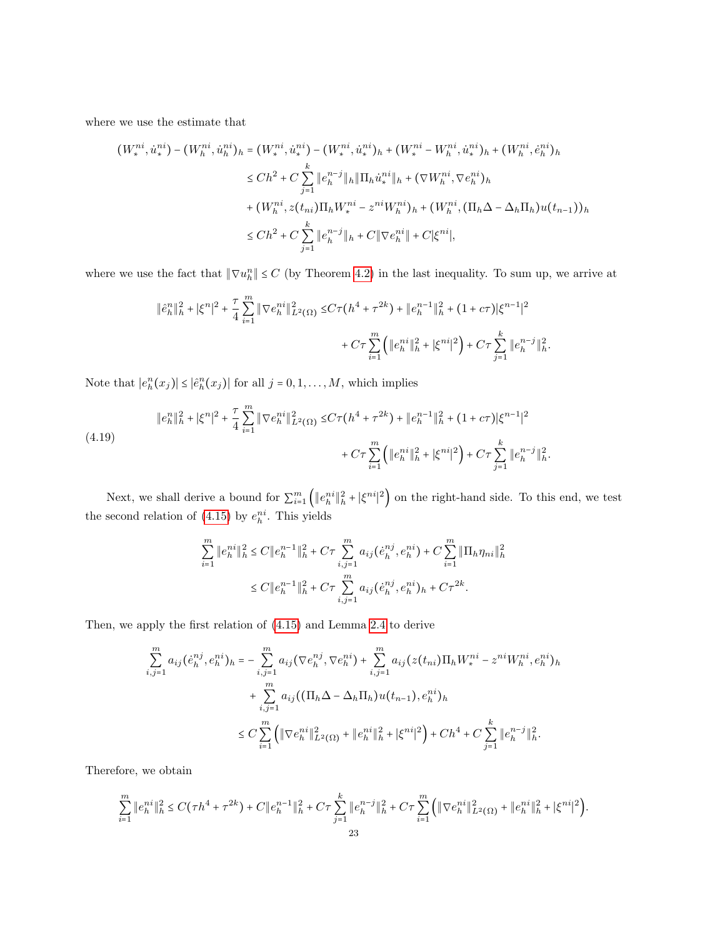where we use the estimate that

$$
(W_{*}^{ni}, \dot{u}_{*}^{ni}) - (W_{h}^{ni}, \dot{u}_{h}^{ni})_{h} = (W_{*}^{ni}, \dot{u}_{*}^{ni}) - (W_{*}^{ni}, \dot{u}_{*}^{ni})_{h} + (W_{*}^{ni} - W_{h}^{ni}, \dot{u}_{*}^{ni})_{h} + (W_{h}^{ni}, \dot{e}_{h}^{ni})_{h}
$$
  
\n
$$
\leq Ch^{2} + C \sum_{j=1}^{k} \|e_{h}^{n-j}\|_{h} \|\Pi_{h}\dot{u}_{*}^{ni}\|_{h} + (\nabla W_{h}^{ni}, \nabla e_{h}^{ni})_{h}
$$
  
\n
$$
+ (W_{h}^{ni}, z(t_{ni})\Pi_{h}W_{*}^{ni} - z^{ni}W_{h}^{ni})_{h} + (W_{h}^{ni}, (\Pi_{h}\Delta - \Delta_{h}\Pi_{h})u(t_{n-1}))_{h}
$$
  
\n
$$
\leq Ch^{2} + C \sum_{j=1}^{k} \|e_{h}^{n-j}\|_{h} + C \|\nabla e_{h}^{ni}\| + C |\xi^{ni}|,
$$

where we use the fact that  $\|\nabla u_h^n\| \leq C$  (by Theorem [4.2\)](#page-18-4) in the last inequality. To sum up, we arrive at

$$
\|\hat{e}_h^n\|_h^2 + |\xi^n|^2 + \frac{\tau}{4} \sum_{i=1}^m \|\nabla e_h^{ni}\|_{L^2(\Omega)}^2 \le C\tau (h^4 + \tau^{2k}) + \|e_h^{n-1}\|_h^2 + (1 + c\tau)|\xi^{n-1}|^2
$$
  
+  $C\tau \sum_{i=1}^m \left( \|e_h^{ni}\|_h^2 + |\xi^{ni}|^2 \right) + C\tau \sum_{j=1}^k \|e_h^{n-j}\|_h^2.$ 

Note that  $|e_h^n(x_j)| \leq |\hat{e}_h^n(x_j)|$  for all  $j = 0, 1, ..., M$ , which implies

<span id="page-22-0"></span>
$$
\|e_h^n\|_h^2 + |\xi^n|^2 + \frac{\tau}{4} \sum_{i=1}^m \|\nabla e_h^{ni}\|_{L^2(\Omega)}^2 \le C\tau (h^4 + \tau^{2k}) + \|e_h^{n-1}\|_h^2 + (1 + c\tau)|\xi^{n-1}|^2
$$
  

$$
+ C\tau \sum_{i=1}^m \left( \|e_h^{ni}\|_h^2 + |\xi^{ni}|^2 \right) + C\tau \sum_{j=1}^k \|e_h^{n-j}\|_h^2.
$$

Next, we shall derive a bound for  $\sum_{i=1}^{m} (||e_{h}^{ni}||_{h}^{2} + |\xi^{ni}|^{2})$  on the right-hand side. To this end, we test the second relation of  $(4.15)$  by  $e_h^{ni}$ . This yields

$$
\sum_{i=1}^{m} \|e_{h}^{ni}\|_{h}^{2} \le C \|e_{h}^{n-1}\|_{h}^{2} + C\tau \sum_{i,j=1}^{m} a_{ij}(\dot{e}_{h}^{nj}, e_{h}^{ni}) + C \sum_{i=1}^{m} \|\Pi_{h}\eta_{ni}\|_{h}^{2}
$$

$$
\le C \|e_{h}^{n-1}\|_{h}^{2} + C\tau \sum_{i,j=1}^{m} a_{ij}(\dot{e}_{h}^{nj}, e_{h}^{ni})_{h} + C\tau^{2k}.
$$

Then, we apply the first relation of [\(4.15\)](#page-20-0) and Lemma [2.4](#page-8-1) to derive

$$
\sum_{i,j=1}^{m} a_{ij} (\dot{e}_{h}^{nj}, e_{h}^{ni})_{h} = - \sum_{i,j=1}^{m} a_{ij} (\nabla e_{h}^{nj}, \nabla e_{h}^{ni}) + \sum_{i,j=1}^{m} a_{ij} (z(t_{ni}) \Pi_{h} W_{*}^{ni} - z^{ni} W_{h}^{ni}, e_{h}^{ni})_{h}
$$
  
+ 
$$
\sum_{i,j=1}^{m} a_{ij} ((\Pi_{h} \Delta - \Delta_{h} \Pi_{h}) u(t_{n-1}), e_{h}^{ni})_{h}
$$
  

$$
\leq C \sum_{i=1}^{m} ( \| \nabla e_{h}^{ni} \|_{L^{2}(\Omega)}^{2} + \| e_{h}^{ni} \|_{h}^{2} + | \xi^{ni} |^{2}) + C h^{4} + C \sum_{j=1}^{k} \| e_{h}^{n-j} \|_{h}^{2}.
$$

Therefore, we obtain

$$
\sum_{i=1}^{m} \|e_h^{ni}\|_h^2 \le C(\tau h^4 + \tau^{2k}) + C\|e_h^{n-1}\|_h^2 + C\tau \sum_{j=1}^k \|e_h^{n-j}\|_h^2 + C\tau \sum_{i=1}^m \left(\|\nabla e_h^{ni}\|_{L^2(\Omega)}^2 + \|e_h^{ni}\|_h^2 + |\xi^{ni}|^2\right).
$$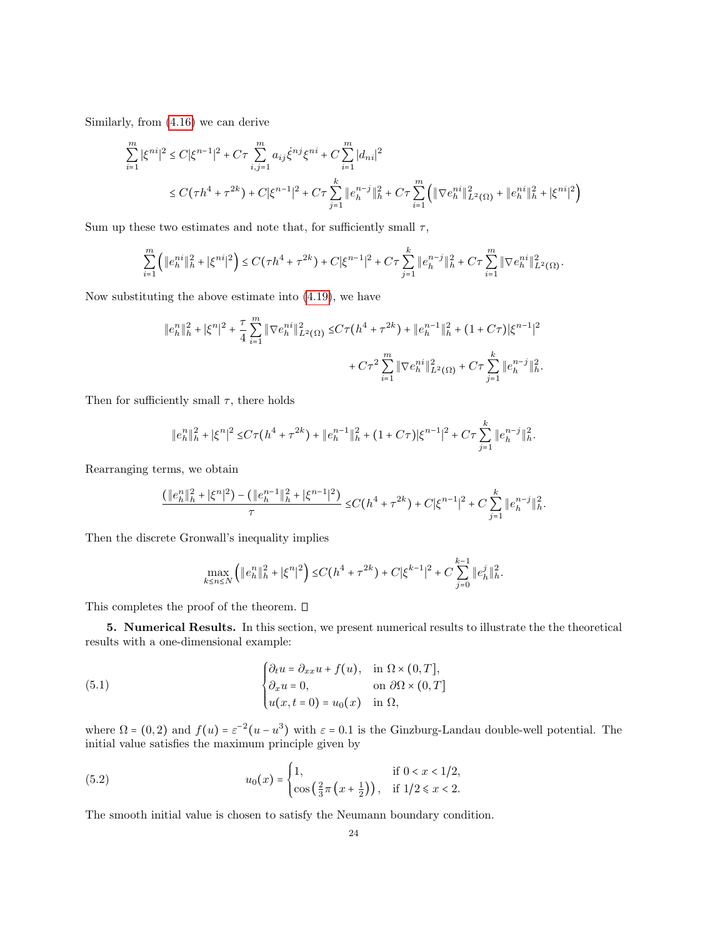Similarly, from [\(4.16\)](#page-20-2) we can derive

$$
\sum_{i=1}^{m} |\xi^{ni}|^2 \le C|\xi^{n-1}|^2 + C\tau \sum_{i,j=1}^{m} a_{ij}\dot{\xi}^{nj}\xi^{ni} + C\sum_{i=1}^{m} |d_{ni}|^2
$$
  

$$
\le C(\tau h^4 + \tau^{2k}) + C|\xi^{n-1}|^2 + C\tau \sum_{j=1}^{k} ||e_h^{n-j}||_h^2 + C\tau \sum_{i=1}^{m} (||\nabla e_h^{ni}||_{L^2(\Omega)}^2 + ||e_h^{ni}||_h^2 + |\xi^{ni}|^2)
$$

Sum up these two estimates and note that, for sufficiently small  $\tau$ ,

$$
\sum_{i=1}^m \left( \|e_h^{ni}\|_h^2 + |\xi^{ni}|^2 \right) \le C\left(\tau h^4 + \tau^{2k}\right) + C|\xi^{n-1}|^2 + C\tau \sum_{j=1}^k \|e_h^{n-j}\|_h^2 + C\tau \sum_{i=1}^m \|\nabla e_h^{ni}\|_{L^2(\Omega)}^2.
$$

Now substituting the above estimate into [\(4.19\)](#page-22-0), we have

$$
\begin{aligned} \|e_h^n\|_h^2 + |\xi^n|^2 + \frac{\tau}{4} \sum_{i=1}^m \|\nabla e_h^{ni}\|_{L^2(\Omega)}^2 \leq & C\tau \big(h^4 + \tau^{2k}\big) + \|e_h^{n-1}\|_h^2 + (1+C\tau) |\xi^{n-1}|^2 \\ &\quad + C\tau^2 \sum_{i=1}^m \|\nabla e_h^{ni}\|_{L^2(\Omega)}^2 + C\tau \sum_{j=1}^k \|e_h^{n-j}\|_h^2. \end{aligned}
$$

Then for sufficiently small  $\tau$ , there holds

$$
\|e_h^n\|_h^2 + |\xi^n|^2 \le C\tau (h^4 + \tau^{2k}) + \|e_h^{n-1}\|_h^2 + (1+C\tau)|\xi^{n-1}|^2 + C\tau \sum_{j=1}^k \|e_h^{n-j}\|_h^2.
$$

Rearranging terms, we obtain

$$
\frac{(\|e_h^n\|_h^2 + |\xi^n|^2) - (\|e_h^{n-1}\|_h^2 + |\xi^{n-1}|^2)}{\tau} \le C(h^4 + \tau^{2k}) + C|\xi^{n-1}|^2 + C\sum_{j=1}^k \|e_h^{n-j}\|_h^2.
$$

Then the discrete Gronwall's inequality implies

<span id="page-23-1"></span>
$$
\max_{k \le n \le N} \left( \|e_h^n\|_h^2 + |\xi^n|^2 \right) \le C\left(h^4 + \tau^{2k}\right) + C|\xi^{k-1}|^2 + C\sum_{j=0}^{k-1} \|e_h^j\|_h^2.
$$

This completes the proof of the theorem.  $\square$ 

<span id="page-23-0"></span>5. Numerical Results. In this section, we present numerical results to illustrate the the theoretical results with a one-dimensional example:

(5.1) 
$$
\begin{cases} \partial_t u = \partial_{xx} u + f(u), & \text{in } \Omega \times (0, T], \\ \partial_x u = 0, & \text{on } \partial \Omega \times (0, T] \\ u(x, t = 0) = u_0(x) & \text{in } \Omega, \end{cases}
$$

where  $\Omega = (0, 2)$  and  $f(u) = \varepsilon^{-2}(u - u^3)$  with  $\varepsilon = 0.1$  is the Ginzburg-Landau double-well potential. The initial value satisfies the maximum principle given by

(5.2) 
$$
u_0(x) = \begin{cases} 1, & \text{if } 0 < x < 1/2, \\ \cos\left(\frac{2}{3}\pi\left(x + \frac{1}{2}\right)\right), & \text{if } 1/2 \leq x < 2. \end{cases}
$$

The smooth initial value is chosen to satisfy the Neumann boundary condition.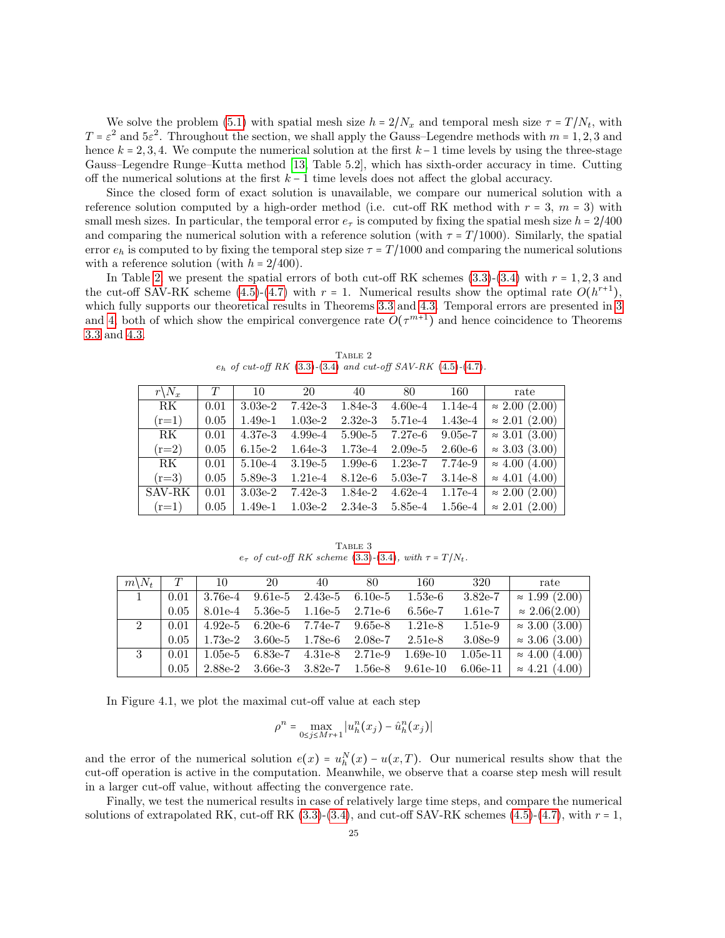We solve the problem [\(5.1\)](#page-23-1) with spatial mesh size  $h = 2/N_x$  and temporal mesh size  $\tau = T/N_t$ , with  $T = \varepsilon^2$  and  $5\varepsilon^2$ . Throughout the section, we shall apply the Gauss–Legendre methods with  $m = 1, 2, 3$  and hence  $k = 2, 3, 4$ . We compute the numerical solution at the first  $k - 1$  time levels by using the three-stage Gauss–Legendre Runge–Kutta method [\[13,](#page-27-16) Table 5.2], which has sixth-order accuracy in time. Cutting off the numerical solutions at the first  $k - 1$  time levels does not affect the global accuracy.

Since the closed form of exact solution is unavailable, we compare our numerical solution with a reference solution computed by a high-order method (i.e. cut-off RK method with  $r = 3$ ,  $m = 3$ ) with small mesh sizes. In particular, the temporal error  $e_{\tau}$  is computed by fixing the spatial mesh size  $h = 2/400$ and comparing the numerical solution with a reference solution (with  $\tau = T/1000$ ). Similarly, the spatial error  $e_h$  is computed to by fixing the temporal step size  $\tau = T/1000$  and comparing the numerical solutions with a reference solution (with  $h = 2/400$ ).

In Table [2,](#page-24-0) we present the spatial errors of both cut-off RK schemes  $(3.3)-(3.4)$  $(3.3)-(3.4)$  $(3.3)-(3.4)$  with  $r = 1, 2, 3$  and the cut-off SAV-RK scheme  $(4.5)-(4.7)$  $(4.5)-(4.7)$  $(4.5)-(4.7)$  with  $r = 1$ . Numerical results show the optimal rate  $O(h^{r+1})$ , which fully supports our theoretical results in Theorems [3.3](#page-14-2) and [4.3.](#page-20-3) Temporal errors are presented in [3](#page-24-1) and [4,](#page-25-0) both of which show the empirical convergence rate  $O(\tau^{m+1})$  and hence coincidence to Theorems [3.3](#page-14-2) and [4.3.](#page-20-3)

| $r\backslash N_x$ | T    | 10        | 20        | 40        | 80        | 160       | rate                     |
|-------------------|------|-----------|-----------|-----------|-----------|-----------|--------------------------|
| RK                | 0.01 | $3.03e-2$ | $7.42e-3$ | 1.84e-3   | $4.60e-4$ | $1.14e-4$ | $\approx 2.00$ (2.00)    |
| $(r=1)$           | 0.05 | $1.49e-1$ | $1.03e-2$ | $2.32e-3$ | 5.71e-4   | $1.43e-4$ | $\approx 2.01$ (2.00)    |
| RK                | 0.01 | 4.37e-3   | $4.99e-4$ | $5.90e-5$ | 7.27e-6   | $9.05e-7$ | $\approx 3.01$ (3.00)    |
| $(r=2)$           | 0.05 | $6.15e-2$ | $1.64e-3$ | $1.73e-4$ | $2.09e-5$ | $2.60e-6$ | $\approx 3.03$ (3.00)    |
| RK                | 0.01 | $5.10e-4$ | $3.19e-5$ | $1.99e-6$ | $1.23e-7$ | 7.74e-9   | $\approx 4.00$ (4.00)    |
| $(r=3)$           | 0.05 | 5.89e-3   | $1.21e-4$ | $8.12e-6$ | $5.03e-7$ | $3.14e-8$ | $\approx 4.01$ (4.00)    |
| SAV-RK            | 0.01 | $3.03e-2$ | $7.42e-3$ | 1.84e-2   | $4.62e-4$ | $1.17e-4$ | $\approx 2.00$ (2.00)    |
| $(r=1)$           | 0.05 | $1.49e-1$ | $1.03e-2$ | $2.34e-3$ | 5.85e-4   | $1.56e-4$ | (2.00)<br>$\approx 2.01$ |
|                   |      |           |           |           |           |           |                          |

<span id="page-24-0"></span>TABLE 2  $e_h$  of cut-off RK [\(3.3\)](#page-13-1)-[\(3.4\)](#page-13-4) and cut-off SAV-RK [\(4.5\)](#page-17-3)-[\(4.7\)](#page-18-0).

<span id="page-24-1"></span>TABLE 3  $e_{\tau}$  of cut-off RK scheme [\(3.3\)](#page-13-1)-[\(3.4\)](#page-13-4), with  $\tau = T/N_t$ .

| $m\backslash N_t$ | T    | 10        | - 20      | 40        | 80         | 160        | 320        | rate                  |
|-------------------|------|-----------|-----------|-----------|------------|------------|------------|-----------------------|
|                   | 0.01 | $3.76e-4$ | $9.61e-5$ | $2.43e-5$ | $6.10e-5$  | $1.53e-6$  | $3.82e-7$  | $\approx 1.99$ (2.00) |
|                   | 0.05 | $8.01e-4$ | $5.36e-5$ | $1.16e-5$ | $2.71e-6$  | $6.56e-7$  | 1.61e-7    | $\approx 2.06(2.00)$  |
| $2^{\circ}$       | 0.01 | $4.92e-5$ | $6.20e-6$ | 7.74e-7   | $9.65e-8$  | $1.21e-8$  | $1.51e-9$  | $\approx 3.00$ (3.00) |
|                   | 0.05 | 1.73e-2   | $3.60e-5$ | 1.78e-6   | $2.08e$ -7 | $2.51e-8$  | $3.08e-9$  | $\approx 3.06$ (3.00) |
| 3                 | 0.01 | $1.05e-5$ | 6.83e-7   | $4.31e-8$ | $2.71e-9$  | $1.69e-10$ | $1.05e-11$ | $\approx 4.00$ (4.00) |
|                   | 0.05 | 2.88e-2   | $3.66e-3$ | $3.82e-7$ | 1.56e-8    | $9.61e-10$ | $6.06e-11$ | $\approx 4.21$ (4.00) |
|                   |      |           |           |           |            |            |            |                       |

In Figure 4.1, we plot the maximal cut-off value at each step

$$
\rho^n = \max_{0 \le j \le Mr+1} |u_h^n(x_j) - \hat{u}_h^n(x_j)|
$$

and the error of the numerical solution  $e(x) = u_h^N(x) - u(x, T)$ . Our numerical results show that the cut-off operation is active in the computation. Meanwhile, we observe that a coarse step mesh will result in a larger cut-off value, without affecting the convergence rate.

Finally, we test the numerical results in case of relatively large time steps, and compare the numerical solutions of extrapolated RK, cut-off RK  $(3.3)-(3.4)$  $(3.3)-(3.4)$  $(3.3)-(3.4)$ , and cut-off SAV-RK schemes  $(4.5)-(4.7)$  $(4.5)-(4.7)$  $(4.5)-(4.7)$ , with  $r = 1$ ,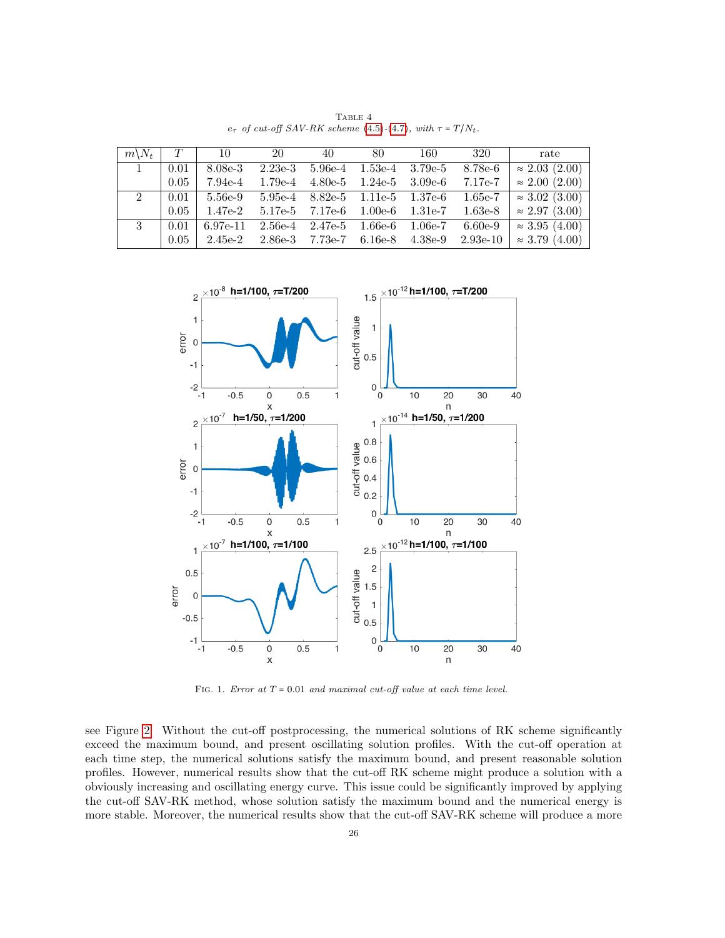| $m\backslash N_t$ | T    | 10         | - 20      | 40        | 80                                      | 160       | 320        | rate                  |
|-------------------|------|------------|-----------|-----------|-----------------------------------------|-----------|------------|-----------------------|
| $\mathbf{1}$      | 0.01 | $8.08e-3$  | $2.23e-3$ | $5.96e-4$ | $1.53\mathrm{e}\text{-}4$               | $3.79e-5$ | 8.78e-6    | $\approx 2.03$ (2.00) |
|                   | 0.05 | 7.94e-4    | $1.79e-4$ |           | $4.80e-5$ $1.24e-5$ $3.09e-6$           |           | 7.17e-7    | $\approx 2.00$ (2.00) |
| $2^{\circ}$       | 0.01 | 5.56e-9    |           |           | $5.95e-4$ $8.82e-5$ $1.11e-5$ $1.37e-6$ |           | $1.65e-7$  | $\approx 3.02$ (3.00) |
|                   | 0.05 | 1.47e-2    |           |           | $5.17e-5$ $7.17e-6$ $1.00e-6$ $1.31e-7$ |           | $1.63e-8$  | $\approx 2.97$ (3.00) |
| 3 <sup>1</sup>    | 0.01 | 6.97e-11   |           |           | $2.56e-4$ $2.47e-5$ $1.66e-6$ $1.06e-7$ |           | $6.60e-9$  | $\approx 3.95$ (4.00) |
|                   | 0.05 | $2.45e$ -2 |           |           | 2.86e-3 7.73e-7 6.16e-8                 | $4.38e-9$ | $2.93e-10$ | $\approx 3.79$ (4.00) |

<span id="page-25-0"></span>TABLE  $\sqrt{4}$  $e_{\tau}$  of cut-off SAV-RK scheme [\(4.5\)](#page-17-3)-[\(4.7\)](#page-18-0), with  $\tau = T/N_t$ .



FIG. 1. Error at  $T = 0.01$  and maximal cut-off value at each time level.

see Figure [2.](#page-26-0) Without the cut-off postprocessing, the numerical solutions of RK scheme significantly exceed the maximum bound, and present oscillating solution profiles. With the cut-off operation at each time step, the numerical solutions satisfy the maximum bound, and present reasonable solution profiles. However, numerical results show that the cut-off RK scheme might produce a solution with a obviously increasing and oscillating energy curve. This issue could be significantly improved by applying the cut-off SAV-RK method, whose solution satisfy the maximum bound and the numerical energy is more stable. Moreover, the numerical results show that the cut-off SAV-RK scheme will produce a more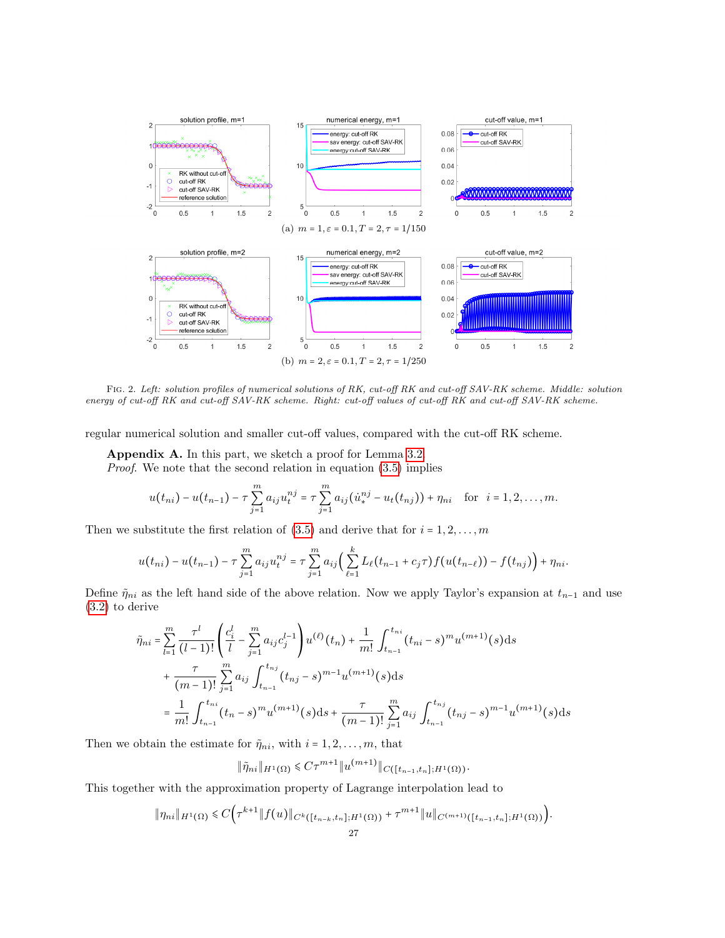

<span id="page-26-0"></span>Fig. 2. Left: solution profiles of numerical solutions of RK, cut-off RK and cut-off SAV-RK scheme. Middle: solution energy of cut-off RK and cut-off SAV-RK scheme. Right: cut-off values of cut-off RK and cut-off SAV-RK scheme.

regular numerical solution and smaller cut-off values, compared with the cut-off RK scheme.

Appendix A. In this part, we sketch a proof for Lemma [3.2.](#page-13-6)

Proof. We note that the second relation in equation [\(3.5\)](#page-13-5) implies

$$
u(t_{ni}) - u(t_{n-1}) - \tau \sum_{j=1}^{m} a_{ij} u_t^{nj} = \tau \sum_{j=1}^{m} a_{ij} (u_{\star}^{nj} - u_t(t_{nj})) + \eta_{ni} \quad \text{for} \quad i = 1, 2, \ldots, m.
$$

Then we substitute the first relation of  $(3.5)$  and derive that for  $i = 1, 2, \ldots, m$ 

$$
u(t_{ni}) - u(t_{n-1}) - \tau \sum_{j=1}^{m} a_{ij} u_i^{nj} = \tau \sum_{j=1}^{m} a_{ij} \left( \sum_{\ell=1}^{k} L_{\ell}(t_{n-1} + c_j \tau) f(u(t_{n-\ell})) - f(t_{nj}) \right) + \eta_{ni}.
$$

Define  $\tilde{\eta}_{ni}$  as the left hand side of the above relation. Now we apply Taylor's expansion at  $t_{n-1}$  and use [\(3.2\)](#page-13-3) to derive

$$
\tilde{\eta}_{ni} = \sum_{l=1}^{m} \frac{\tau^{l}}{(l-1)!} \left( \frac{c_i^{l}}{l} - \sum_{j=1}^{m} a_{ij} c_j^{l-1} \right) u^{(\ell)}(t_n) + \frac{1}{m!} \int_{t_{n-1}}^{t_{ni}} (t_{ni} - s)^m u^{(m+1)}(s) ds \n+ \frac{\tau}{(m-1)!} \sum_{j=1}^{m} a_{ij} \int_{t_{n-1}}^{t_{nj}} (t_{nj} - s)^{m-1} u^{(m+1)}(s) ds \n= \frac{1}{m!} \int_{t_{n-1}}^{t_{ni}} (t_n - s)^m u^{(m+1)}(s) ds + \frac{\tau}{(m-1)!} \sum_{j=1}^{m} a_{ij} \int_{t_{n-1}}^{t_{nj}} (t_{nj} - s)^{m-1} u^{(m+1)}(s) ds
$$

Then we obtain the estimate for  $\tilde{\eta}_{ni}$ , with  $i = 1, 2, \ldots, m$ , that

$$
\|\tilde{\eta}_{ni}\|_{H^1(\Omega)} \leq C\tau^{m+1} \|u^{(m+1)}\|_{C([t_{n-1},t_n];H^1(\Omega))}.
$$

This together with the approximation property of Lagrange interpolation lead to

$$
\|\eta_{ni}\|_{H^1(\Omega)} \leq C \Big( \tau^{k+1} \|f(u)\|_{C^k([t_{n-k},t_n];H^1(\Omega))} + \tau^{m+1} \|u\|_{C^{(m+1)}([t_{n-1},t_n];H^1(\Omega))} \Big).
$$
  
27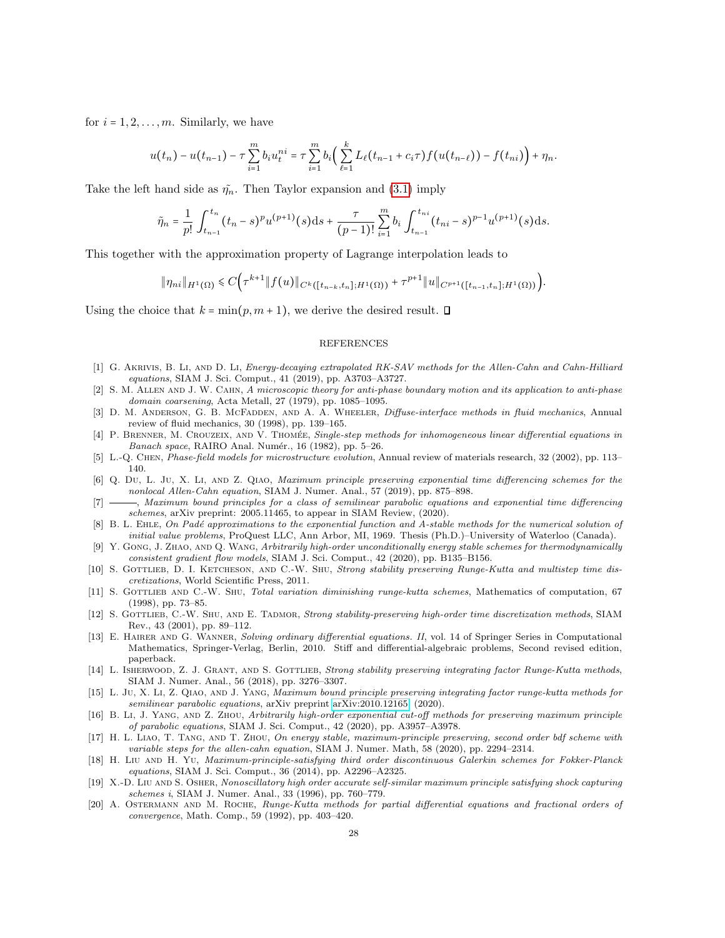for  $i = 1, 2, \ldots, m$ . Similarly, we have

$$
u(t_n) - u(t_{n-1}) - \tau \sum_{i=1}^m b_i u_t^{ni} = \tau \sum_{i=1}^m b_i \Big( \sum_{\ell=1}^k L_\ell(t_{n-1} + c_i \tau) f(u(t_{n-\ell})) - f(t_{ni}) \Big) + \eta_n.
$$

Take the left hand side as  $\tilde{\eta}_n$ . Then Taylor expansion and [\(3.1\)](#page-13-2) imply

$$
\tilde{\eta}_n = \frac{1}{p!} \int_{t_{n-1}}^{t_n} (t_n - s)^p u^{(p+1)}(s) \, ds + \frac{\tau}{(p-1)!} \sum_{i=1}^m b_i \int_{t_{n-1}}^{t_{ni}} (t_{ni} - s)^{p-1} u^{(p+1)}(s) \, ds.
$$

This together with the approximation property of Lagrange interpolation leads to

$$
\|\eta_{ni}\|_{H^1(\Omega)} \leq C \Big( \tau^{k+1} \|f(u)\|_{C^k([t_{n-k},t_n];H^1(\Omega))} + \tau^{p+1} \|u\|_{C^{p+1}([t_{n-1},t_n];H^1(\Omega))} \Big).
$$

Using the choice that  $k = \min(p, m + 1)$ , we derive the desired result.  $\Box$ 

## REFERENCES

- <span id="page-27-17"></span>[1] G. Akrivis, B. Li, and D. Li, Energy-decaying extrapolated RK-SAV methods for the Allen-Cahn and Cahn-Hilliard equations, SIAM J. Sci. Comput., 41 (2019), pp. A3703–A3727.
- <span id="page-27-1"></span>[2] S. M. Allen and J. W. Cahn, A microscopic theory for anti-phase boundary motion and its application to anti-phase domain coarsening, Acta Metall, 27 (1979), pp. 1085–1095.
- <span id="page-27-2"></span>[3] D. M. ANDERSON, G. B. MCFADDEN, AND A. A. WHEELER, *Diffuse-interface methods in fluid mechanics*, Annual review of fluid mechanics, 30 (1998), pp. 139–165.
- <span id="page-27-14"></span>[4] P. BRENNER, M. CROUZEIX, AND V. THOMÉE, Single-step methods for inhomogeneous linear differential equations in Banach space, RAIRO Anal. Numér., 16 (1982), pp. 5-26.
- <span id="page-27-3"></span>[5] L.-Q. Chen, Phase-field models for microstructure evolution, Annual review of materials research, 32 (2002), pp. 113– 140.
- <span id="page-27-4"></span>[6] Q. Du, L. Ju, X. Li, and Z. Qiao, Maximum principle preserving exponential time differencing schemes for the nonlocal Allen-Cahn equation, SIAM J. Numer. Anal., 57 (2019), pp. 875–898.
- <span id="page-27-0"></span>[7] , Maximum bound principles for a class of semilinear parabolic equations and exponential time differencing schemes, arXiv preprint: 2005.11465, to appear in SIAM Review, (2020).
- <span id="page-27-13"></span>[8] B. L. EHLE, On Padé approximations to the exponential function and A-stable methods for the numerical solution of initial value problems, ProQuest LLC, Ann Arbor, MI, 1969. Thesis (Ph.D.)–University of Waterloo (Canada).
- <span id="page-27-18"></span>[9] Y. GONG, J. ZHAO, AND Q. WANG, Arbitrarily high-order unconditionally energy stable schemes for thermodynamically consistent gradient flow models, SIAM J. Sci. Comput., 42 (2020), pp. B135–B156.
- <span id="page-27-6"></span>[10] S. GOTTLIEB, D. I. KETCHESON, AND C.-W. SHU, Strong stability preserving Runge-Kutta and multistep time discretizations, World Scientific Press, 2011.
- [11] S. GOTTLIEB AND C.-W. SHU, Total variation diminishing runge-kutta schemes, Mathematics of computation, 67 (1998), pp. 73–85.
- <span id="page-27-7"></span>[12] S. GOTTLIEB, C.-W. SHU, AND E. TADMOR, Strong stability-preserving high-order time discretization methods, SIAM Rev., 43 (2001), pp. 89–112.
- <span id="page-27-16"></span>[13] E. HAIRER AND G. WANNER, Solving ordinary differential equations. II, vol. 14 of Springer Series in Computational Mathematics, Springer-Verlag, Berlin, 2010. Stiff and differential-algebraic problems, Second revised edition, paperback.
- <span id="page-27-10"></span>[14] L. ISHERWOOD, Z. J. GRANT, AND S. GOTTLIEB, Strong stability preserving integrating factor Runge-Kutta methods, SIAM J. Numer. Anal., 56 (2018), pp. 3276–3307.
- <span id="page-27-11"></span>[15] L. Ju, X. Li, Z. QIAO, AND J. YANG, Maximum bound principle preserving integrating factor runge-kutta methods for semilinear parabolic equations, arXiv preprint [arXiv:2010.12165,](http://arxiv.org/abs/2010.12165) (2020).
- <span id="page-27-12"></span>[16] B. Li, J. Yang, and Z. Zhou, Arbitrarily high-order exponential cut-off methods for preserving maximum principle of parabolic equations, SIAM J. Sci. Comput., 42 (2020), pp. A3957–A3978.
- <span id="page-27-5"></span>[17] H. L. Liao, T. Tang, and T. Zhou, On energy stable, maximum-principle preserving, second order bdf scheme with variable steps for the allen-cahn equation, SIAM J. Numer. Math, 58 (2020), pp. 2294–2314.
- <span id="page-27-8"></span>[18] H. Liu and H. Yu, Maximum-principle-satisfying third order discontinuous Galerkin schemes for Fokker-Planck equations, SIAM J. Sci. Comput., 36 (2014), pp. A2296–A2325.
- <span id="page-27-9"></span>[19] X.-D. Liu AND S. OSHER, Nonoscillatory high order accurate self-similar maximum principle satisfying shock capturing schemes i, SIAM J. Numer. Anal., 33 (1996), pp. 760–779.
- <span id="page-27-15"></span>[20] A. Ostermann and M. Roche, Runge-Kutta methods for partial differential equations and fractional orders of convergence, Math. Comp., 59 (1992), pp. 403–420.